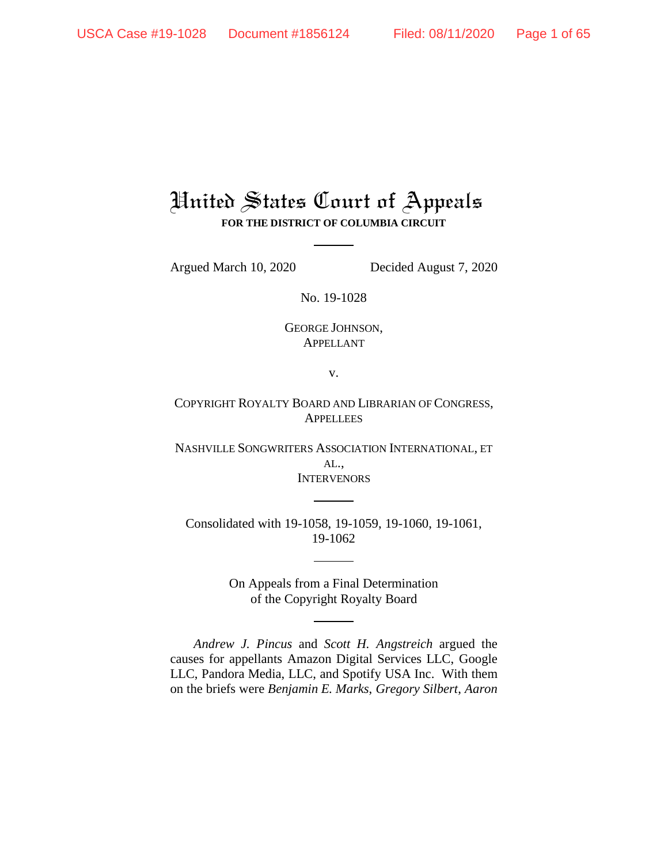# United States Court of Appeals **FOR THE DISTRICT OF COLUMBIA CIRCUIT**

Argued March 10, 2020 Decided August 7, 2020

No. 19-1028

GEORGE JOHNSON, APPELLANT

v.

COPYRIGHT ROYALTY BOARD AND LIBRARIAN OF CONGRESS, **APPELLEES** 

NASHVILLE SONGWRITERS ASSOCIATION INTERNATIONAL, ET AL., **INTERVENORS** 

Consolidated with 19-1058, 19-1059, 19-1060, 19-1061, 19-1062

> On Appeals from a Final Determination of the Copyright Royalty Board

*Andrew J. Pincus* and *Scott H. Angstreich* argued the causes for appellants Amazon Digital Services LLC, Google LLC, Pandora Media, LLC, and Spotify USA Inc. With them on the briefs were *Benjamin E. Marks*, *Gregory Silbert*, *Aaron*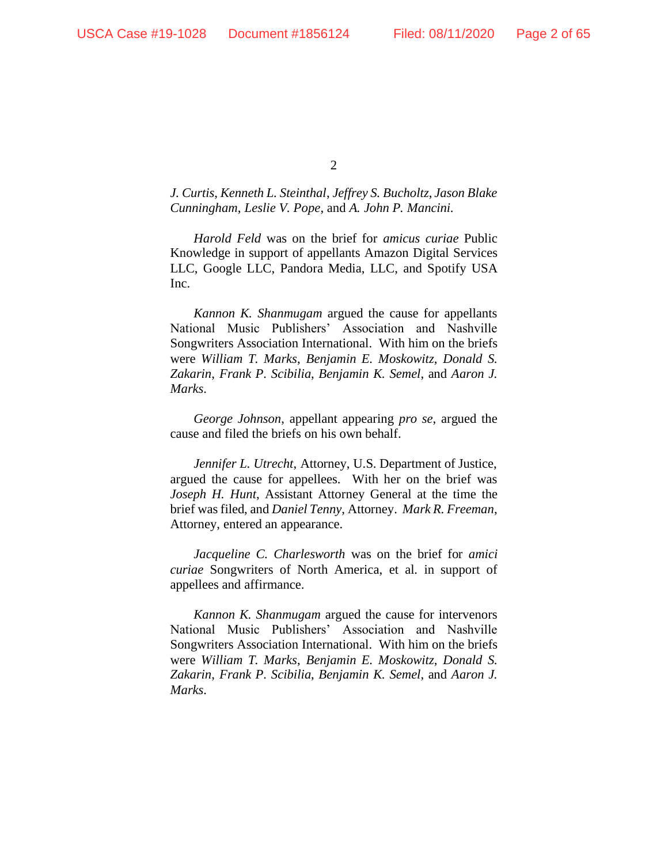*J. Curtis*, *Kenneth L. Steinthal*, *Jeffrey S. Bucholtz*, *Jason Blake Cunningham*, *Leslie V. Pope*, and *A. John P. Mancini.*

*Harold Feld* was on the brief for *amicus curiae* Public Knowledge in support of appellants Amazon Digital Services LLC, Google LLC, Pandora Media, LLC, and Spotify USA Inc.

*Kannon K. Shanmugam* argued the cause for appellants National Music Publishers' Association and Nashville Songwriters Association International. With him on the briefs were *William T. Marks*, *Benjamin E. Moskowitz*, *Donald S. Zakarin*, *Frank P. Scibilia*, *Benjamin K. Semel*, and *Aaron J. Marks*.

*George Johnson*, appellant appearing *pro se*, argued the cause and filed the briefs on his own behalf.

*Jennifer L. Utrecht*, Attorney, U.S. Department of Justice, argued the cause for appellees. With her on the brief was *Joseph H. Hunt*, Assistant Attorney General at the time the brief was filed, and *Daniel Tenny*, Attorney. *Mark R. Freeman*, Attorney, entered an appearance.

*Jacqueline C. Charlesworth* was on the brief for *amici curiae* Songwriters of North America, et al. in support of appellees and affirmance.

*Kannon K. Shanmugam* argued the cause for intervenors National Music Publishers' Association and Nashville Songwriters Association International. With him on the briefs were *William T. Marks*, *Benjamin E. Moskowitz*, *Donald S. Zakarin*, *Frank P. Scibilia*, *Benjamin K. Semel*, and *Aaron J. Marks*.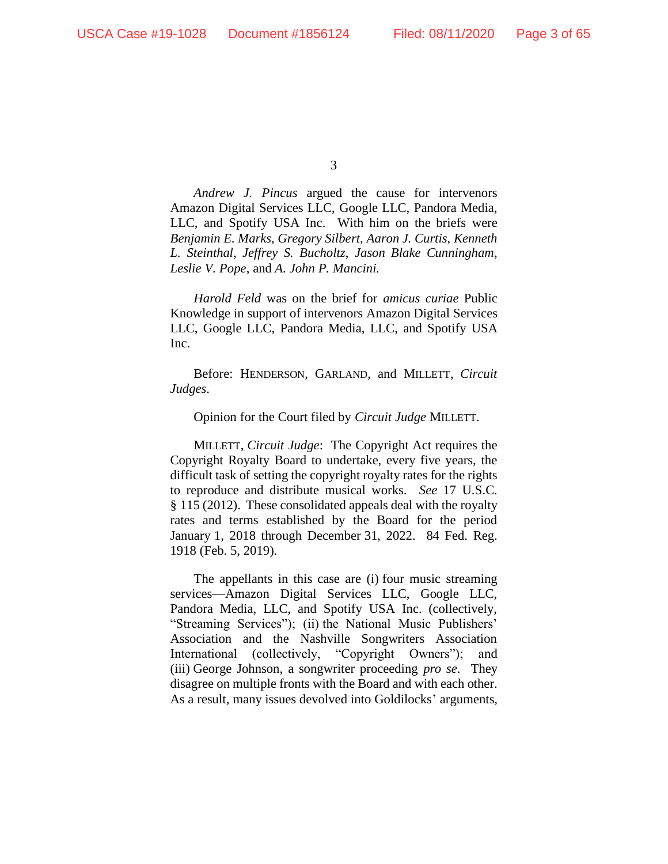*Andrew J. Pincus* argued the cause for intervenors Amazon Digital Services LLC, Google LLC, Pandora Media, LLC, and Spotify USA Inc. With him on the briefs were *Benjamin E. Marks*, *Gregory Silbert*, *Aaron J. Curtis*, *Kenneth L. Steinthal*, *Jeffrey S. Bucholtz*, *Jason Blake Cunningham*, *Leslie V. Pope*, and *A. John P. Mancini.*

*Harold Feld* was on the brief for *amicus curiae* Public Knowledge in support of intervenors Amazon Digital Services LLC, Google LLC, Pandora Media, LLC, and Spotify USA Inc.

Before: HENDERSON, GARLAND, and MILLETT, *Circuit Judges*.

Opinion for the Court filed by *Circuit Judge* MILLETT.

MILLETT, *Circuit Judge*: The Copyright Act requires the Copyright Royalty Board to undertake, every five years, the difficult task of setting the copyright royalty rates for the rights to reproduce and distribute musical works. *See* 17 U.S.C. § 115 (2012). These consolidated appeals deal with the royalty rates and terms established by the Board for the period January 1, 2018 through December 31, 2022. 84 Fed. Reg. 1918 (Feb. 5, 2019).

The appellants in this case are (i) four music streaming services—Amazon Digital Services LLC, Google LLC, Pandora Media, LLC, and Spotify USA Inc. (collectively, "Streaming Services"); (ii) the National Music Publishers' Association and the Nashville Songwriters Association International (collectively, "Copyright Owners"); and (iii) George Johnson, a songwriter proceeding *pro se*. They disagree on multiple fronts with the Board and with each other. As a result, many issues devolved into Goldilocks' arguments,

<sup>3</sup>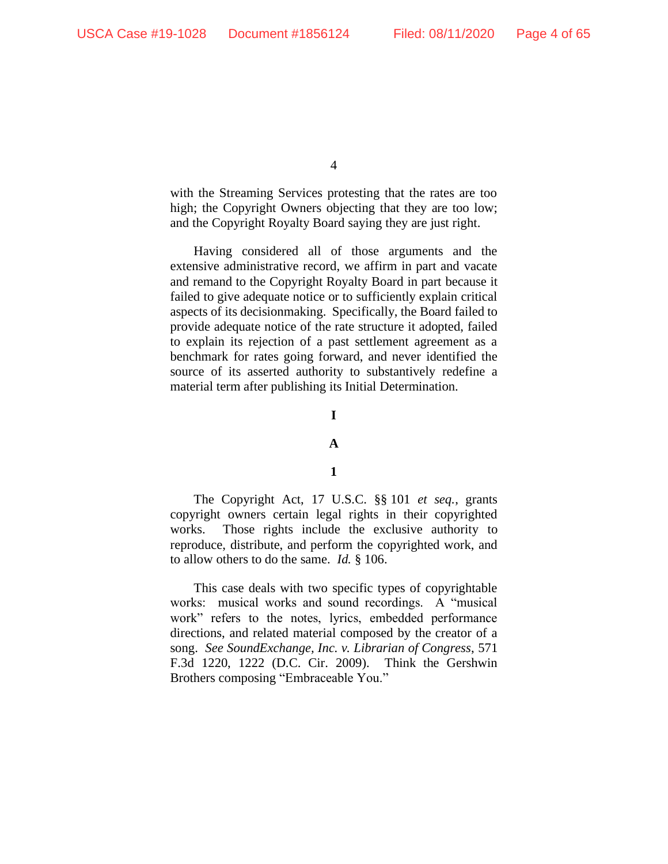with the Streaming Services protesting that the rates are too high; the Copyright Owners objecting that they are too low; and the Copyright Royalty Board saying they are just right.

Having considered all of those arguments and the extensive administrative record, we affirm in part and vacate and remand to the Copyright Royalty Board in part because it failed to give adequate notice or to sufficiently explain critical aspects of its decisionmaking. Specifically, the Board failed to provide adequate notice of the rate structure it adopted, failed to explain its rejection of a past settlement agreement as a benchmark for rates going forward, and never identified the source of its asserted authority to substantively redefine a material term after publishing its Initial Determination.

## **I**

# **A**

# **1**

The Copyright Act, 17 U.S.C. §§ 101 *et seq.*, grants copyright owners certain legal rights in their copyrighted works. Those rights include the exclusive authority to reproduce, distribute, and perform the copyrighted work, and to allow others to do the same. *Id.* § 106.

This case deals with two specific types of copyrightable works: musical works and sound recordings. A "musical work" refers to the notes, lyrics, embedded performance directions, and related material composed by the creator of a song. *See SoundExchange, Inc. v. Librarian of Congress*, 571 F.3d 1220, 1222 (D.C. Cir. 2009). Think the Gershwin Brothers composing "Embraceable You."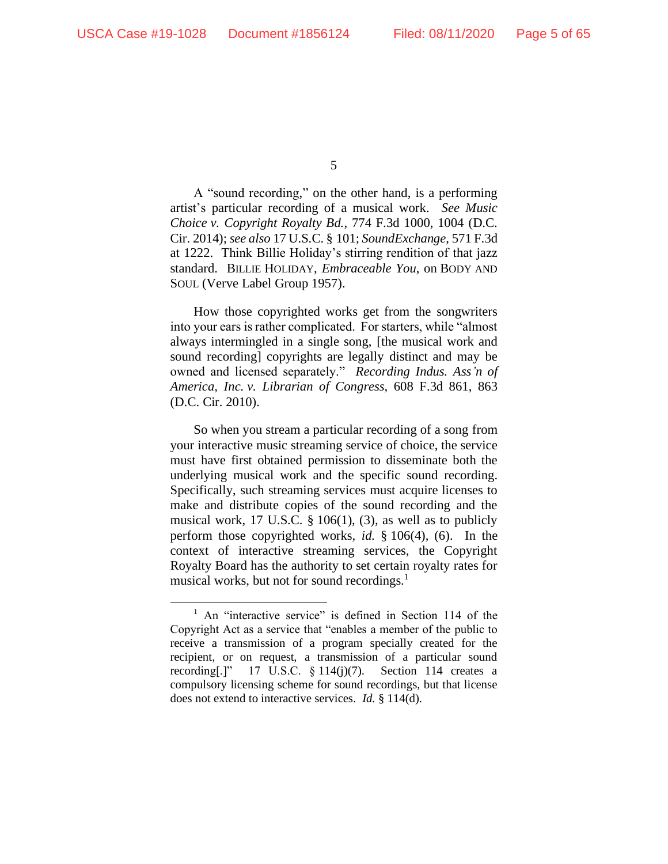A "sound recording," on the other hand, is a performing artist's particular recording of a musical work. *See Music Choice v. Copyright Royalty Bd.*, 774 F.3d 1000, 1004 (D.C. Cir. 2014); *see also* 17 U.S.C. § 101; *SoundExchange*, 571 F.3d at 1222. Think Billie Holiday's stirring rendition of that jazz standard. BILLIE HOLIDAY, *Embraceable You*, on BODY AND SOUL (Verve Label Group 1957).

How those copyrighted works get from the songwriters into your ears is rather complicated. For starters, while "almost always intermingled in a single song, [the musical work and sound recording] copyrights are legally distinct and may be owned and licensed separately." *Recording Indus. Ass'n of America, Inc. v. Librarian of Congress*, 608 F.3d 861, 863 (D.C. Cir. 2010).

So when you stream a particular recording of a song from your interactive music streaming service of choice, the service must have first obtained permission to disseminate both the underlying musical work and the specific sound recording. Specifically, such streaming services must acquire licenses to make and distribute copies of the sound recording and the musical work, 17 U.S.C. § 106(1), (3), as well as to publicly perform those copyrighted works, *id*. § 106(4), (6). In the context of interactive streaming services, the Copyright Royalty Board has the authority to set certain royalty rates for musical works, but not for sound recordings.<sup>1</sup>

<sup>5</sup>

<sup>&</sup>lt;sup>1</sup> An "interactive service" is defined in Section 114 of the Copyright Act as a service that "enables a member of the public to receive a transmission of a program specially created for the recipient, or on request, a transmission of a particular sound recording[.]" 17 U.S.C. § 114(j)(7). Section 114 creates a compulsory licensing scheme for sound recordings, but that license does not extend to interactive services. *Id.* § 114(d).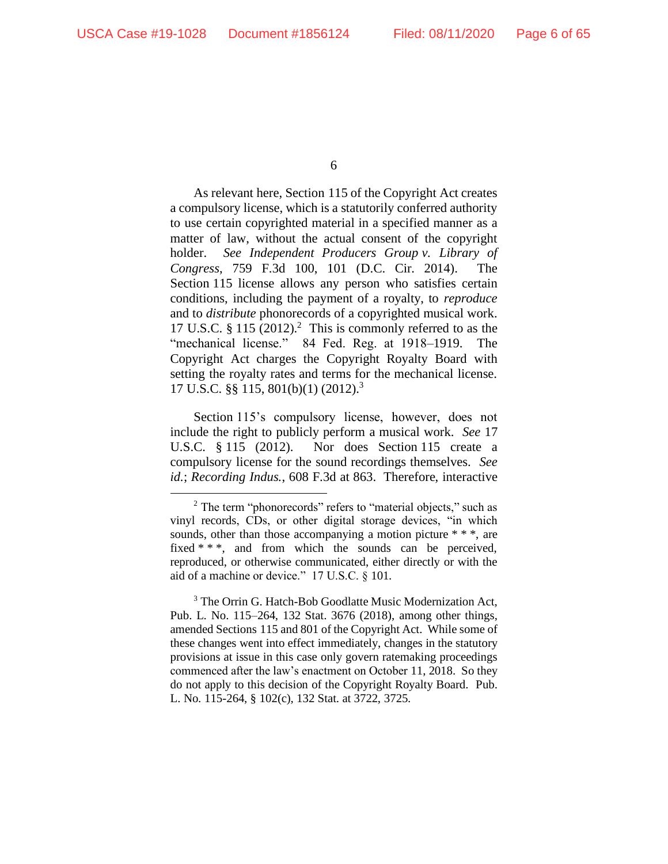As relevant here, Section 115 of the Copyright Act creates a compulsory license, which is a statutorily conferred authority to use certain copyrighted material in a specified manner as a matter of law, without the actual consent of the copyright holder. *See Independent Producers Group v. Library of Congress*, 759 F.3d 100, 101 (D.C. Cir. 2014). Section 115 license allows any person who satisfies certain conditions, including the payment of a royalty, to *reproduce*  and to *distribute* phonorecords of a copyrighted musical work. 17 U.S.C.  $\S 115 (2012).$ <sup>2</sup> This is commonly referred to as the "mechanical license." 84 Fed. Reg. at 1918–1919. The Copyright Act charges the Copyright Royalty Board with setting the royalty rates and terms for the mechanical license. 17 U.S.C. §§ 115, 801(b)(1) (2012). 3

Section 115's compulsory license, however, does not include the right to publicly perform a musical work. *See* 17 U.S.C. § 115 (2012). Nor does Section 115 create a compulsory license for the sound recordings themselves. *See id.*; *Recording Indus.*, 608 F.3d at 863. Therefore, interactive

<sup>3</sup> The Orrin G. Hatch-Bob Goodlatte Music Modernization Act, Pub. L. No. 115–264, 132 Stat. 3676 (2018), among other things, amended Sections 115 and 801 of the Copyright Act. While some of these changes went into effect immediately, changes in the statutory provisions at issue in this case only govern ratemaking proceedings commenced after the law's enactment on October 11, 2018. So they do not apply to this decision of the Copyright Royalty Board. Pub. L. No. 115-264, § 102(c), 132 Stat. at 3722, 3725.

 $2$  The term "phonorecords" refers to "material objects," such as vinyl records, CDs, or other digital storage devices, "in which sounds, other than those accompanying a motion picture \* \* \*, are fixed \* \* \*, and from which the sounds can be perceived, reproduced, or otherwise communicated, either directly or with the aid of a machine or device." 17 U.S.C. § 101.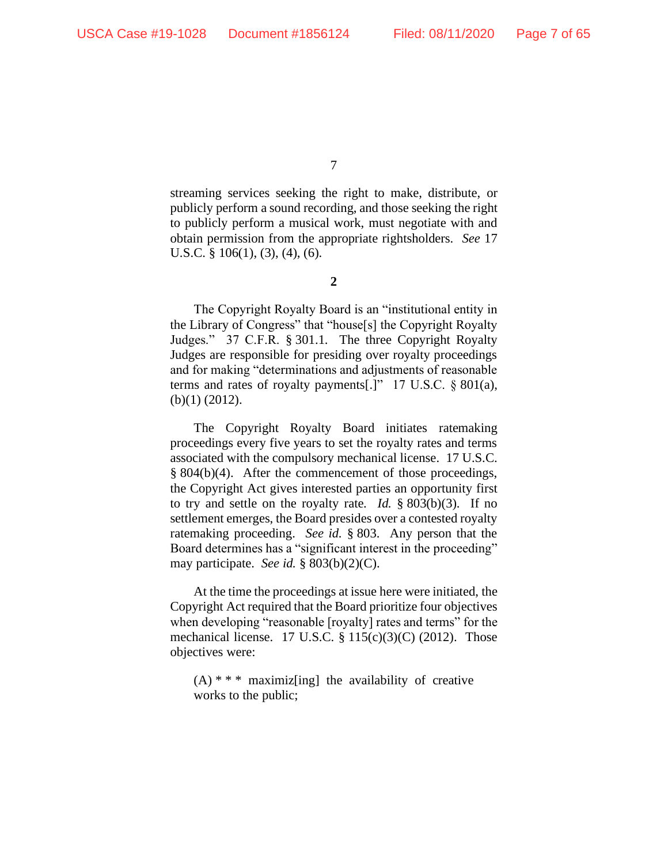streaming services seeking the right to make, distribute, or publicly perform a sound recording, and those seeking the right to publicly perform a musical work, must negotiate with and obtain permission from the appropriate rightsholders. *See* 17 U.S.C.  $\S$  106(1), (3), (4), (6).

**2**

The Copyright Royalty Board is an "institutional entity in the Library of Congress" that "house[s] the Copyright Royalty Judges." 37 C.F.R. § 301.1. The three Copyright Royalty Judges are responsible for presiding over royalty proceedings and for making "determinations and adjustments of reasonable terms and rates of royalty payments[.]" 17 U.S.C. § 801(a), (b)(1) (2012).

The Copyright Royalty Board initiates ratemaking proceedings every five years to set the royalty rates and terms associated with the compulsory mechanical license. 17 U.S.C. § 804(b)(4). After the commencement of those proceedings, the Copyright Act gives interested parties an opportunity first to try and settle on the royalty rate. *Id.* § 803(b)(3). If no settlement emerges, the Board presides over a contested royalty ratemaking proceeding. *See id.* § 803. Any person that the Board determines has a "significant interest in the proceeding" may participate. *See id.* § 803(b)(2)(C).

At the time the proceedings at issue here were initiated, the Copyright Act required that the Board prioritize four objectives when developing "reasonable [royalty] rates and terms" for the mechanical license. 17 U.S.C. § 115(c)(3)(C) (2012). Those objectives were:

 $(A)$  \* \* \* maximiz[ing] the availability of creative works to the public;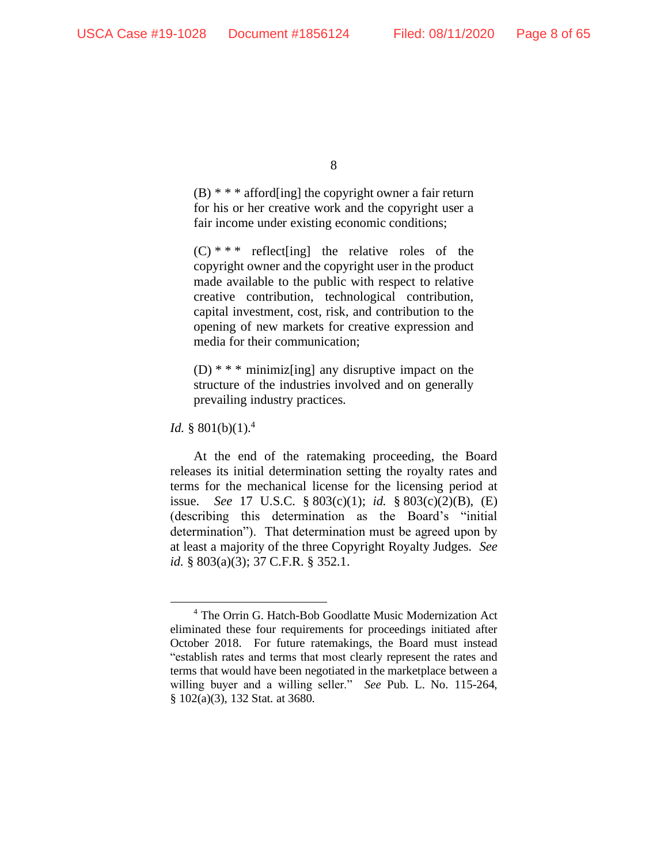$(B)$  \* \* \* afford [ing] the copyright owner a fair return for his or her creative work and the copyright user a fair income under existing economic conditions;

 $(C)$  \* \* \* reflect [ing] the relative roles of the copyright owner and the copyright user in the product made available to the public with respect to relative creative contribution, technological contribution, capital investment, cost, risk, and contribution to the opening of new markets for creative expression and media for their communication;

 $(D)$  \* \* \* minimiz[ing] any disruptive impact on the structure of the industries involved and on generally prevailing industry practices.

*Id.* § 801(b)(1).<sup>4</sup>

At the end of the ratemaking proceeding, the Board releases its initial determination setting the royalty rates and terms for the mechanical license for the licensing period at issue. *See* 17 U.S.C. § 803(c)(1); *id.* § 803(c)(2)(B), (E) (describing this determination as the Board's "initial determination"). That determination must be agreed upon by at least a majority of the three Copyright Royalty Judges. *See id.* § 803(a)(3); 37 C.F.R. § 352.1.

<sup>8</sup>

<sup>4</sup> The Orrin G. Hatch-Bob Goodlatte Music Modernization Act eliminated these four requirements for proceedings initiated after October 2018. For future ratemakings, the Board must instead "establish rates and terms that most clearly represent the rates and terms that would have been negotiated in the marketplace between a willing buyer and a willing seller." *See* Pub. L. No. 115-264, § 102(a)(3), 132 Stat. at 3680.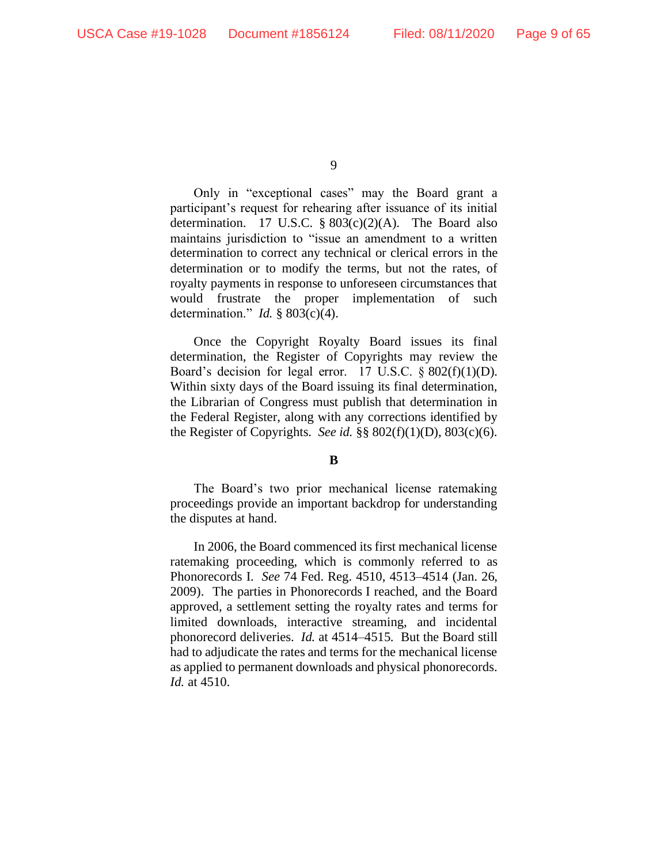Only in "exceptional cases" may the Board grant a participant's request for rehearing after issuance of its initial determination. 17 U.S.C.  $\S 803(c)(2)$ (A). The Board also maintains jurisdiction to "issue an amendment to a written determination to correct any technical or clerical errors in the determination or to modify the terms, but not the rates, of royalty payments in response to unforeseen circumstances that would frustrate the proper implementation of such determination." *Id.* § 803(c)(4).

Once the Copyright Royalty Board issues its final determination, the Register of Copyrights may review the Board's decision for legal error. 17 U.S.C. § 802(f)(1)(D). Within sixty days of the Board issuing its final determination, the Librarian of Congress must publish that determination in the Federal Register, along with any corrections identified by the Register of Copyrights. *See id.* §§ 802(f)(1)(D), 803(c)(6).

#### **B**

The Board's two prior mechanical license ratemaking proceedings provide an important backdrop for understanding the disputes at hand.

In 2006, the Board commenced its first mechanical license ratemaking proceeding, which is commonly referred to as Phonorecords I. *See* 74 Fed. Reg. 4510, 4513–4514 (Jan. 26, 2009). The parties in Phonorecords I reached, and the Board approved, a settlement setting the royalty rates and terms for limited downloads, interactive streaming, and incidental phonorecord deliveries. *Id.* at 4514–4515. But the Board still had to adjudicate the rates and terms for the mechanical license as applied to permanent downloads and physical phonorecords. *Id.* at 4510.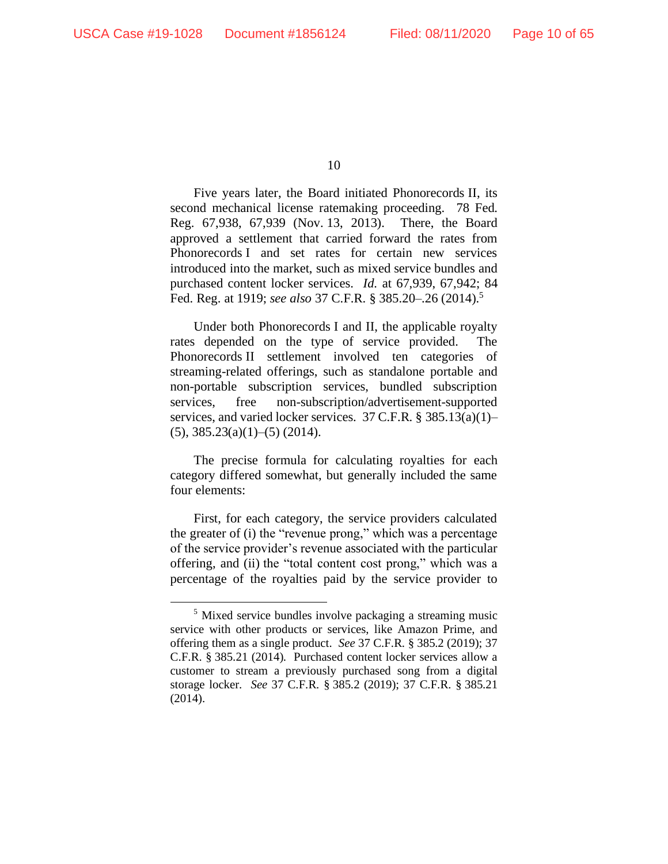Five years later, the Board initiated Phonorecords II, its second mechanical license ratemaking proceeding. 78 Fed. Reg. 67,938, 67,939 (Nov. 13, 2013). There, the Board approved a settlement that carried forward the rates from Phonorecords I and set rates for certain new services introduced into the market, such as mixed service bundles and purchased content locker services. *Id.* at 67,939, 67,942; 84 Fed. Reg. at 1919; *see also* 37 C.F.R. § 385.20–.26 (2014).<sup>5</sup>

Under both Phonorecords I and II, the applicable royalty rates depended on the type of service provided. The Phonorecords II settlement involved ten categories of streaming-related offerings, such as standalone portable and non-portable subscription services, bundled subscription services, free non-subscription/advertisement-supported services, and varied locker services. 37 C.F.R. § 385.13(a)(1)–  $(5)$ , 385.23 $(a)(1)$ – $(5)$  (2014).

The precise formula for calculating royalties for each category differed somewhat, but generally included the same four elements:

First, for each category, the service providers calculated the greater of (i) the "revenue prong," which was a percentage of the service provider's revenue associated with the particular offering, and (ii) the "total content cost prong," which was a percentage of the royalties paid by the service provider to

<sup>&</sup>lt;sup>5</sup> Mixed service bundles involve packaging a streaming music service with other products or services, like Amazon Prime, and offering them as a single product. *See* 37 C.F.R. § 385.2 (2019); 37 C.F.R. § 385.21 (2014). Purchased content locker services allow a customer to stream a previously purchased song from a digital storage locker. *See* 37 C.F.R. § 385.2 (2019); 37 C.F.R. § 385.21 (2014).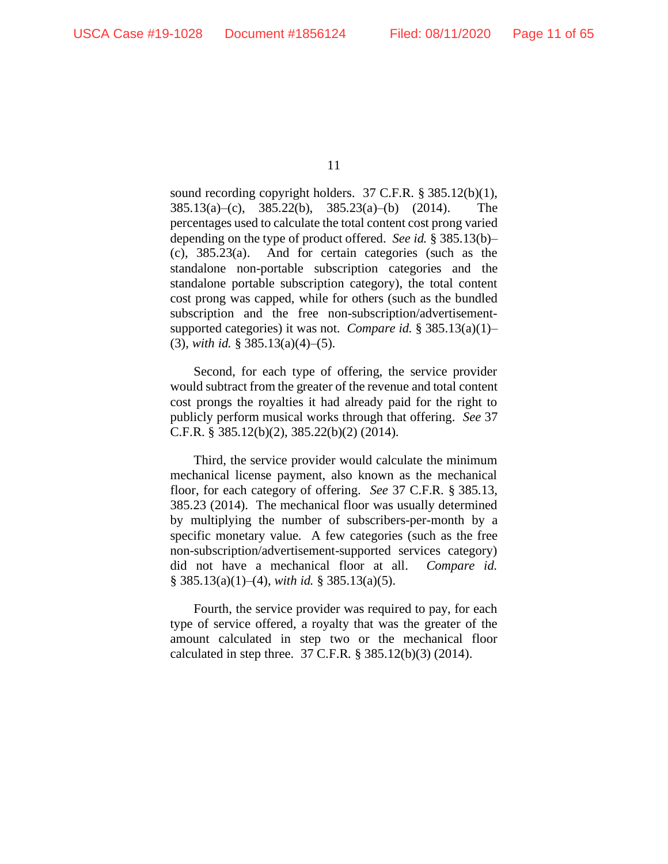sound recording copyright holders. 37 C.F.R. § 385.12(b)(1), 385.13(a)–(c), 385.22(b), 385.23(a)–(b) (2014). The percentages used to calculate the total content cost prong varied depending on the type of product offered. *See id.* § 385.13(b)– (c), 385.23(a). And for certain categories (such as the standalone non-portable subscription categories and the standalone portable subscription category), the total content cost prong was capped, while for others (such as the bundled subscription and the free non-subscription/advertisementsupported categories) it was not. *Compare id.* § 385.13(a)(1)– (3), *with id.* § 385.13(a)(4)–(5).

Second, for each type of offering, the service provider would subtract from the greater of the revenue and total content cost prongs the royalties it had already paid for the right to publicly perform musical works through that offering. *See* 37 C.F.R. § 385.12(b)(2), 385.22(b)(2) (2014).

Third, the service provider would calculate the minimum mechanical license payment, also known as the mechanical floor, for each category of offering. *See* 37 C.F.R. § 385.13, 385.23 (2014). The mechanical floor was usually determined by multiplying the number of subscribers-per-month by a specific monetary value. A few categories (such as the free non-subscription/advertisement-supported services category) did not have a mechanical floor at all. *Compare id.*  § 385.13(a)(1)–(4), *with id.* § 385.13(a)(5).

Fourth, the service provider was required to pay, for each type of service offered, a royalty that was the greater of the amount calculated in step two or the mechanical floor calculated in step three. 37 C.F.R. § 385.12(b)(3) (2014).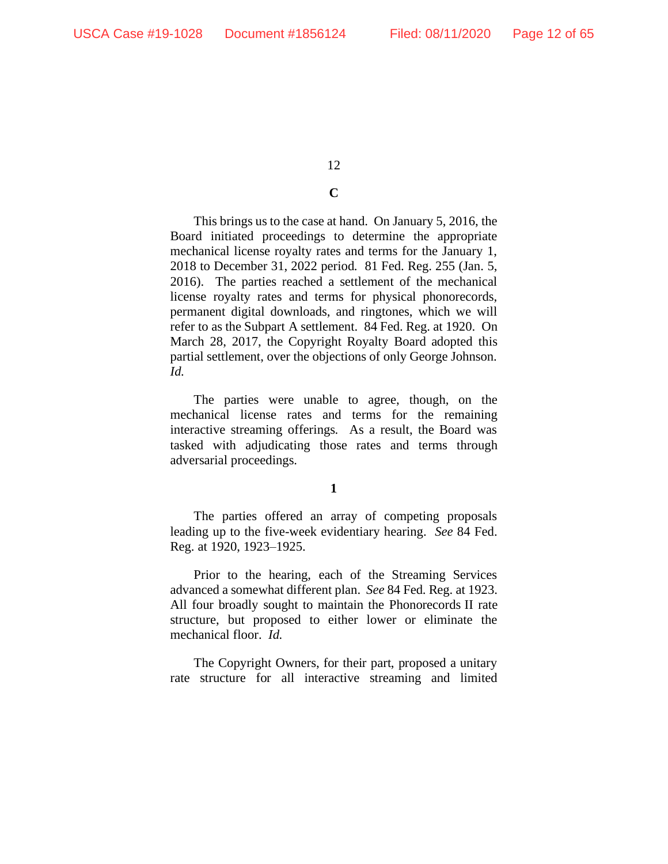# **C**

This brings us to the case at hand. On January 5, 2016, the Board initiated proceedings to determine the appropriate mechanical license royalty rates and terms for the January 1, 2018 to December 31, 2022 period. 81 Fed. Reg. 255 (Jan. 5, 2016). The parties reached a settlement of the mechanical license royalty rates and terms for physical phonorecords, permanent digital downloads, and ringtones, which we will refer to as the Subpart A settlement. 84 Fed. Reg. at 1920. On March 28, 2017, the Copyright Royalty Board adopted this partial settlement, over the objections of only George Johnson. *Id.*

The parties were unable to agree, though, on the mechanical license rates and terms for the remaining interactive streaming offerings. As a result, the Board was tasked with adjudicating those rates and terms through adversarial proceedings.

# **1**

The parties offered an array of competing proposals leading up to the five-week evidentiary hearing. *See* 84 Fed. Reg. at 1920, 1923–1925.

Prior to the hearing, each of the Streaming Services advanced a somewhat different plan. *See* 84 Fed. Reg. at 1923. All four broadly sought to maintain the Phonorecords II rate structure, but proposed to either lower or eliminate the mechanical floor. *Id.*

The Copyright Owners, for their part, proposed a unitary rate structure for all interactive streaming and limited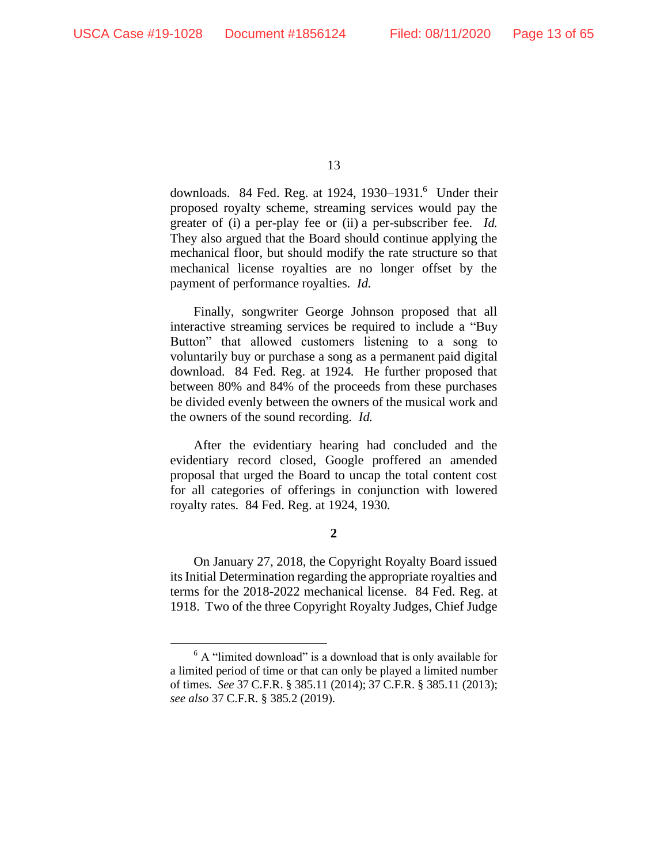downloads. 84 Fed. Reg. at 1924, 1930–1931.<sup>6</sup> Under their proposed royalty scheme, streaming services would pay the greater of (i) a per-play fee or (ii) a per-subscriber fee. *Id.* They also argued that the Board should continue applying the mechanical floor, but should modify the rate structure so that mechanical license royalties are no longer offset by the payment of performance royalties. *Id.*

Finally, songwriter George Johnson proposed that all interactive streaming services be required to include a "Buy Button" that allowed customers listening to a song to voluntarily buy or purchase a song as a permanent paid digital download. 84 Fed. Reg. at 1924. He further proposed that between 80% and 84% of the proceeds from these purchases be divided evenly between the owners of the musical work and the owners of the sound recording. *Id.*

After the evidentiary hearing had concluded and the evidentiary record closed, Google proffered an amended proposal that urged the Board to uncap the total content cost for all categories of offerings in conjunction with lowered royalty rates. 84 Fed. Reg. at 1924, 1930.

**2**

On January 27, 2018, the Copyright Royalty Board issued its Initial Determination regarding the appropriate royalties and terms for the 2018-2022 mechanical license. 84 Fed. Reg. at 1918. Two of the three Copyright Royalty Judges, Chief Judge

 $6$  A "limited download" is a download that is only available for a limited period of time or that can only be played a limited number of times. *See* 37 C.F.R. § 385.11 (2014); 37 C.F.R. § 385.11 (2013); *see also* 37 C.F.R. § 385.2 (2019).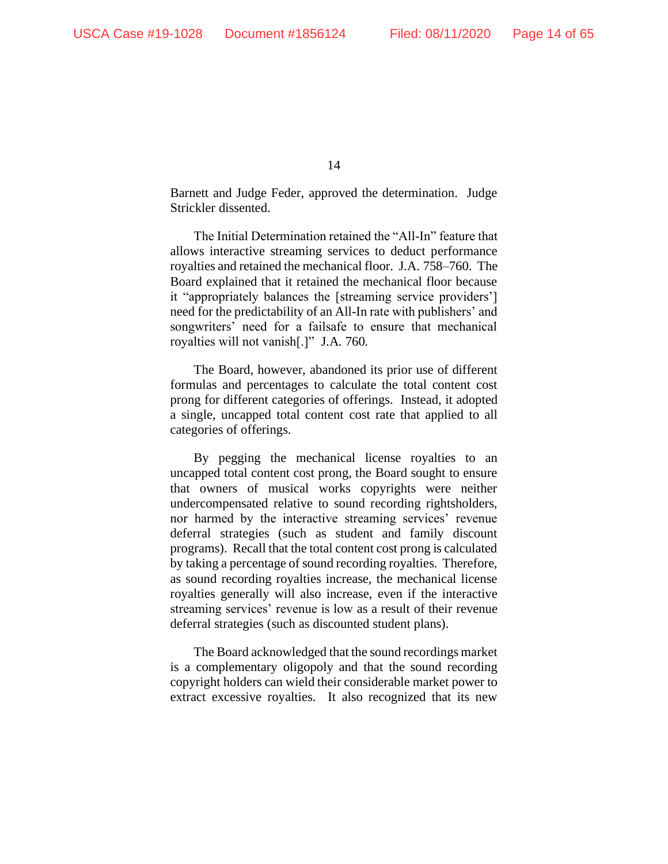Barnett and Judge Feder, approved the determination. Judge Strickler dissented.

The Initial Determination retained the "All-In" feature that allows interactive streaming services to deduct performance royalties and retained the mechanical floor. J.A. 758–760. The Board explained that it retained the mechanical floor because it "appropriately balances the [streaming service providers'] need for the predictability of an All-In rate with publishers' and songwriters' need for a failsafe to ensure that mechanical royalties will not vanish[.]" J.A. 760.

The Board, however, abandoned its prior use of different formulas and percentages to calculate the total content cost prong for different categories of offerings. Instead, it adopted a single, uncapped total content cost rate that applied to all categories of offerings.

By pegging the mechanical license royalties to an uncapped total content cost prong, the Board sought to ensure that owners of musical works copyrights were neither undercompensated relative to sound recording rightsholders, nor harmed by the interactive streaming services' revenue deferral strategies (such as student and family discount programs). Recall that the total content cost prong is calculated by taking a percentage of sound recording royalties. Therefore, as sound recording royalties increase, the mechanical license royalties generally will also increase, even if the interactive streaming services' revenue is low as a result of their revenue deferral strategies (such as discounted student plans).

The Board acknowledged that the sound recordings market is a complementary oligopoly and that the sound recording copyright holders can wield their considerable market power to extract excessive royalties. It also recognized that its new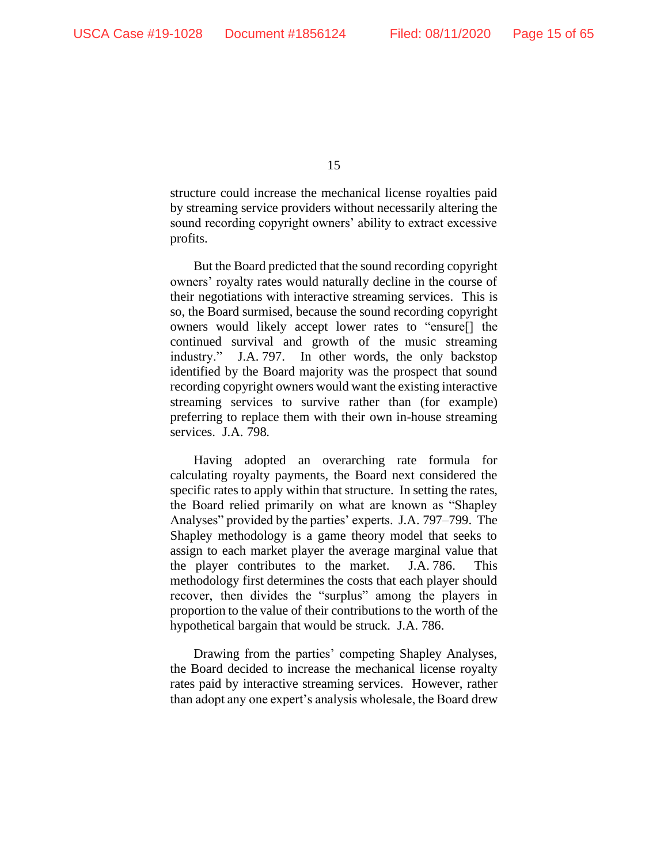structure could increase the mechanical license royalties paid by streaming service providers without necessarily altering the sound recording copyright owners' ability to extract excessive profits.

But the Board predicted that the sound recording copyright owners' royalty rates would naturally decline in the course of their negotiations with interactive streaming services. This is so, the Board surmised, because the sound recording copyright owners would likely accept lower rates to "ensure[] the continued survival and growth of the music streaming industry." J.A. 797. In other words, the only backstop identified by the Board majority was the prospect that sound recording copyright owners would want the existing interactive streaming services to survive rather than (for example) preferring to replace them with their own in-house streaming services. J.A. 798.

Having adopted an overarching rate formula for calculating royalty payments, the Board next considered the specific rates to apply within that structure. In setting the rates, the Board relied primarily on what are known as "Shapley Analyses" provided by the parties' experts. J.A. 797–799. The Shapley methodology is a game theory model that seeks to assign to each market player the average marginal value that the player contributes to the market. J.A. 786. This methodology first determines the costs that each player should recover, then divides the "surplus" among the players in proportion to the value of their contributions to the worth of the hypothetical bargain that would be struck. J.A. 786.

Drawing from the parties' competing Shapley Analyses, the Board decided to increase the mechanical license royalty rates paid by interactive streaming services. However, rather than adopt any one expert's analysis wholesale, the Board drew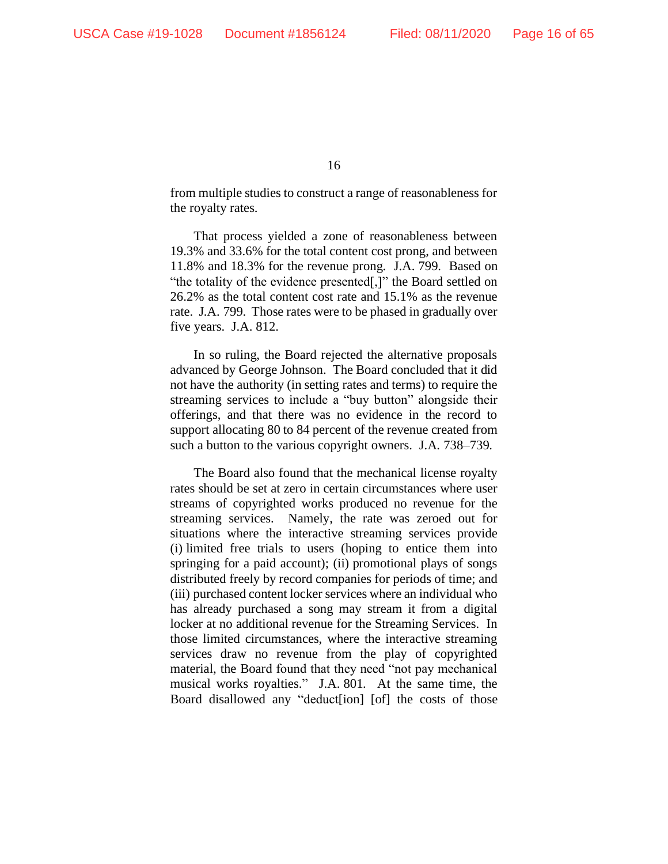from multiple studies to construct a range of reasonableness for the royalty rates.

That process yielded a zone of reasonableness between 19.3% and 33.6% for the total content cost prong, and between 11.8% and 18.3% for the revenue prong. J.A. 799. Based on "the totality of the evidence presented[,]" the Board settled on 26.2% as the total content cost rate and 15.1% as the revenue rate. J.A. 799. Those rates were to be phased in gradually over five years. J.A. 812.

In so ruling, the Board rejected the alternative proposals advanced by George Johnson. The Board concluded that it did not have the authority (in setting rates and terms) to require the streaming services to include a "buy button" alongside their offerings, and that there was no evidence in the record to support allocating 80 to 84 percent of the revenue created from such a button to the various copyright owners. J.A. 738–739.

The Board also found that the mechanical license royalty rates should be set at zero in certain circumstances where user streams of copyrighted works produced no revenue for the streaming services. Namely, the rate was zeroed out for situations where the interactive streaming services provide (i) limited free trials to users (hoping to entice them into springing for a paid account); (ii) promotional plays of songs distributed freely by record companies for periods of time; and (iii) purchased content locker services where an individual who has already purchased a song may stream it from a digital locker at no additional revenue for the Streaming Services. In those limited circumstances, where the interactive streaming services draw no revenue from the play of copyrighted material, the Board found that they need "not pay mechanical musical works royalties." J.A. 801. At the same time, the Board disallowed any "deduct[ion] [of] the costs of those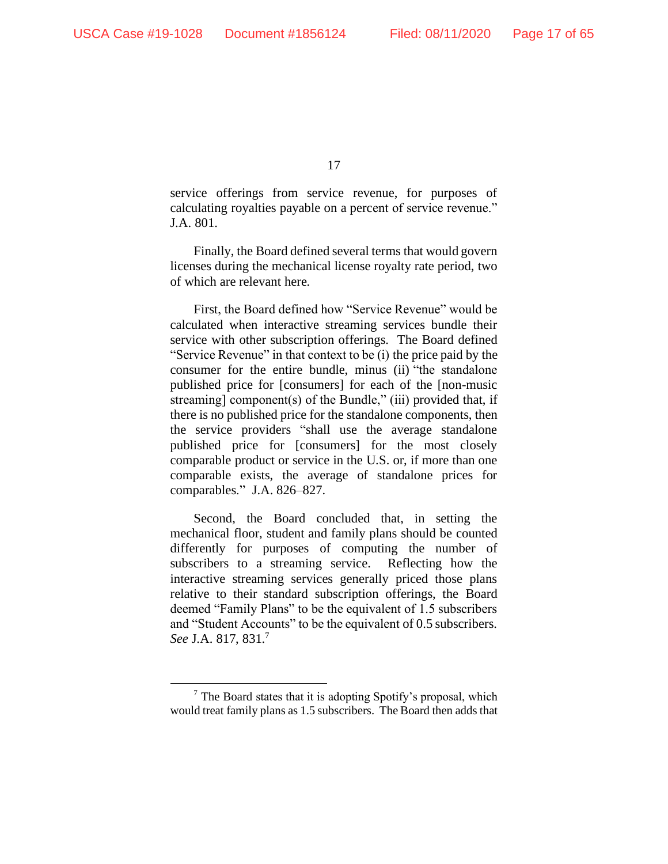service offerings from service revenue, for purposes of calculating royalties payable on a percent of service revenue." J.A. 801.

Finally, the Board defined several terms that would govern licenses during the mechanical license royalty rate period, two of which are relevant here.

First, the Board defined how "Service Revenue" would be calculated when interactive streaming services bundle their service with other subscription offerings. The Board defined "Service Revenue" in that context to be (i) the price paid by the consumer for the entire bundle, minus (ii) "the standalone published price for [consumers] for each of the [non-music streaming] component(s) of the Bundle," (iii) provided that, if there is no published price for the standalone components, then the service providers "shall use the average standalone published price for [consumers] for the most closely comparable product or service in the U.S. or, if more than one comparable exists, the average of standalone prices for comparables." J.A. 826–827.

Second, the Board concluded that, in setting the mechanical floor, student and family plans should be counted differently for purposes of computing the number of subscribers to a streaming service. Reflecting how the interactive streaming services generally priced those plans relative to their standard subscription offerings, the Board deemed "Family Plans" to be the equivalent of 1.5 subscribers and "Student Accounts" to be the equivalent of 0.5 subscribers. *See* J.A. 817, 831.<sup>7</sup>

 $<sup>7</sup>$  The Board states that it is adopting Spotify's proposal, which</sup> would treat family plans as 1.5 subscribers. The Board then adds that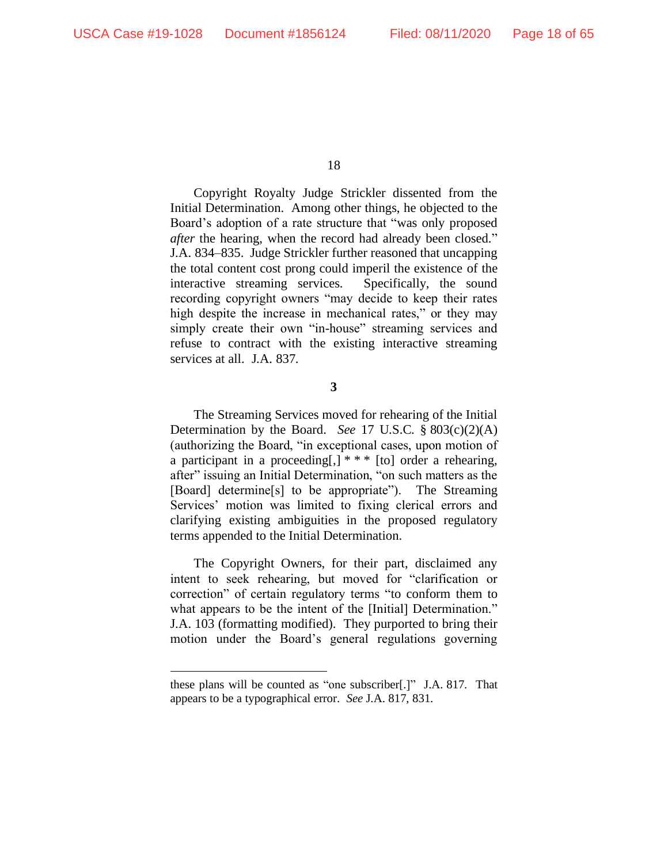Copyright Royalty Judge Strickler dissented from the Initial Determination. Among other things, he objected to the Board's adoption of a rate structure that "was only proposed *after* the hearing, when the record had already been closed." J.A. 834–835. Judge Strickler further reasoned that uncapping the total content cost prong could imperil the existence of the interactive streaming services. Specifically, the sound recording copyright owners "may decide to keep their rates high despite the increase in mechanical rates," or they may simply create their own "in-house" streaming services and refuse to contract with the existing interactive streaming services at all. J.A. 837.

**3**

The Streaming Services moved for rehearing of the Initial Determination by the Board. *See* 17 U.S.C. § 803(c)(2)(A) (authorizing the Board, "in exceptional cases, upon motion of a participant in a proceeding[,] \* \* \* [to] order a rehearing, after" issuing an Initial Determination, "on such matters as the [Board] determine[s] to be appropriate"). The Streaming Services' motion was limited to fixing clerical errors and clarifying existing ambiguities in the proposed regulatory terms appended to the Initial Determination.

The Copyright Owners, for their part, disclaimed any intent to seek rehearing, but moved for "clarification or correction" of certain regulatory terms "to conform them to what appears to be the intent of the [Initial] Determination." J.A. 103 (formatting modified). They purported to bring their motion under the Board's general regulations governing

these plans will be counted as "one subscriber[.]" J.A. 817. That appears to be a typographical error. *See* J.A. 817, 831.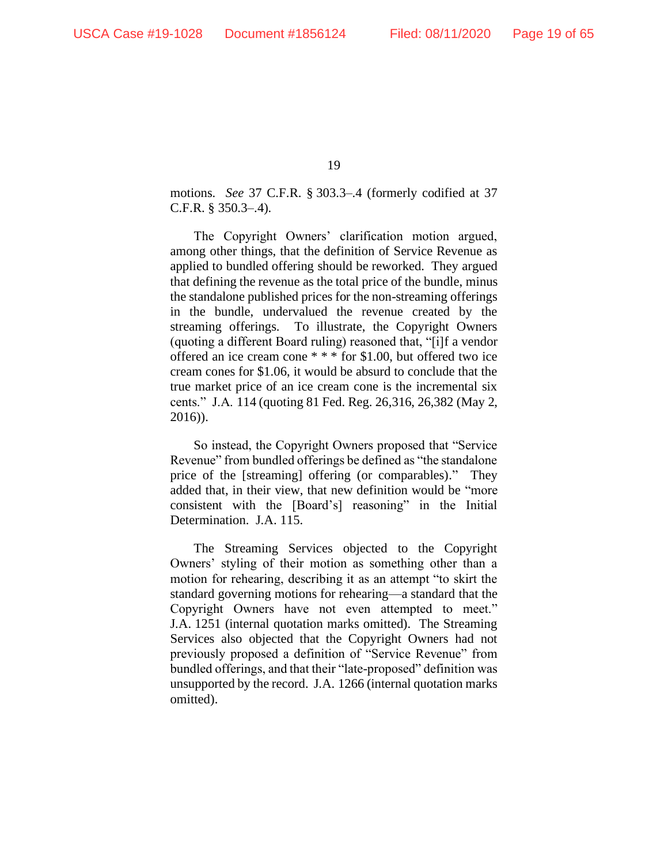motions. *See* 37 C.F.R. § 303.3–.4 (formerly codified at 37 C.F.R. § 350.3–.4).

The Copyright Owners' clarification motion argued, among other things, that the definition of Service Revenue as applied to bundled offering should be reworked. They argued that defining the revenue as the total price of the bundle, minus the standalone published prices for the non-streaming offerings in the bundle, undervalued the revenue created by the streaming offerings. To illustrate, the Copyright Owners (quoting a different Board ruling) reasoned that, "[i]f a vendor offered an ice cream cone \* \* \* for \$1.00, but offered two ice cream cones for \$1.06, it would be absurd to conclude that the true market price of an ice cream cone is the incremental six cents." J.A. 114 (quoting 81 Fed. Reg. 26,316, 26,382 (May 2, 2016)).

So instead, the Copyright Owners proposed that "Service Revenue" from bundled offerings be defined as "the standalone price of the [streaming] offering (or comparables)." They added that, in their view, that new definition would be "more consistent with the [Board's] reasoning" in the Initial Determination. J.A. 115.

The Streaming Services objected to the Copyright Owners' styling of their motion as something other than a motion for rehearing, describing it as an attempt "to skirt the standard governing motions for rehearing—a standard that the Copyright Owners have not even attempted to meet." J.A. 1251 (internal quotation marks omitted). The Streaming Services also objected that the Copyright Owners had not previously proposed a definition of "Service Revenue" from bundled offerings, and that their "late-proposed" definition was unsupported by the record. J.A. 1266 (internal quotation marks omitted).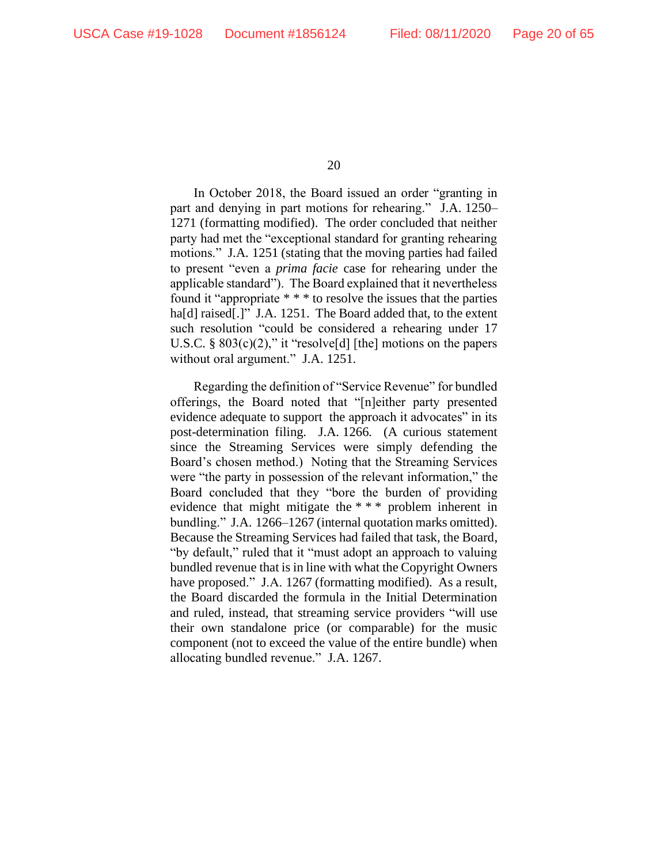In October 2018, the Board issued an order "granting in part and denying in part motions for rehearing." J.A. 1250– 1271 (formatting modified). The order concluded that neither party had met the "exceptional standard for granting rehearing motions." J.A. 1251 (stating that the moving parties had failed to present "even a *prima facie* case for rehearing under the applicable standard"). The Board explained that it nevertheless found it "appropriate \* \* \* to resolve the issues that the parties ha<sup>[d]</sup> raised<sup>[1]</sup>" J.A. 1251. The Board added that, to the extent such resolution "could be considered a rehearing under 17 U.S.C. §  $803(c)(2)$ ," it "resolve[d] [the] motions on the papers without oral argument." J.A. 1251.

Regarding the definition of "Service Revenue" for bundled offerings, the Board noted that "[n]either party presented evidence adequate to support the approach it advocates" in its post-determination filing. J.A. 1266. (A curious statement since the Streaming Services were simply defending the Board's chosen method.) Noting that the Streaming Services were "the party in possession of the relevant information," the Board concluded that they "bore the burden of providing evidence that might mitigate the \* \* \* problem inherent in bundling." J.A. 1266–1267 (internal quotation marks omitted). Because the Streaming Services had failed that task, the Board, "by default," ruled that it "must adopt an approach to valuing bundled revenue that is in line with what the Copyright Owners have proposed." J.A. 1267 (formatting modified). As a result, the Board discarded the formula in the Initial Determination and ruled, instead, that streaming service providers "will use their own standalone price (or comparable) for the music component (not to exceed the value of the entire bundle) when allocating bundled revenue." J.A. 1267.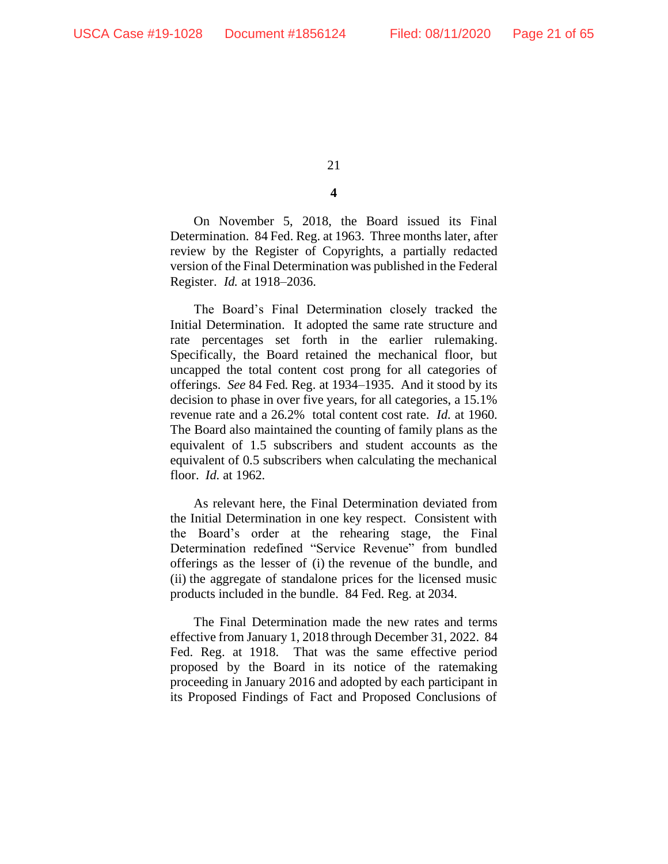# **4**

On November 5, 2018, the Board issued its Final Determination. 84 Fed. Reg. at 1963. Three months later, after review by the Register of Copyrights, a partially redacted version of the Final Determination was published in the Federal Register. *Id.* at 1918–2036.

The Board's Final Determination closely tracked the Initial Determination. It adopted the same rate structure and rate percentages set forth in the earlier rulemaking. Specifically, the Board retained the mechanical floor, but uncapped the total content cost prong for all categories of offerings. *See* 84 Fed. Reg. at 1934–1935. And it stood by its decision to phase in over five years, for all categories, a 15.1% revenue rate and a 26.2% total content cost rate. *Id.* at 1960. The Board also maintained the counting of family plans as the equivalent of 1.5 subscribers and student accounts as the equivalent of 0.5 subscribers when calculating the mechanical floor. *Id.* at 1962.

As relevant here, the Final Determination deviated from the Initial Determination in one key respect. Consistent with the Board's order at the rehearing stage, the Final Determination redefined "Service Revenue" from bundled offerings as the lesser of (i) the revenue of the bundle, and (ii) the aggregate of standalone prices for the licensed music products included in the bundle. 84 Fed. Reg. at 2034.

The Final Determination made the new rates and terms effective from January 1, 2018 through December 31, 2022. 84 Fed. Reg. at 1918. That was the same effective period proposed by the Board in its notice of the ratemaking proceeding in January 2016 and adopted by each participant in its Proposed Findings of Fact and Proposed Conclusions of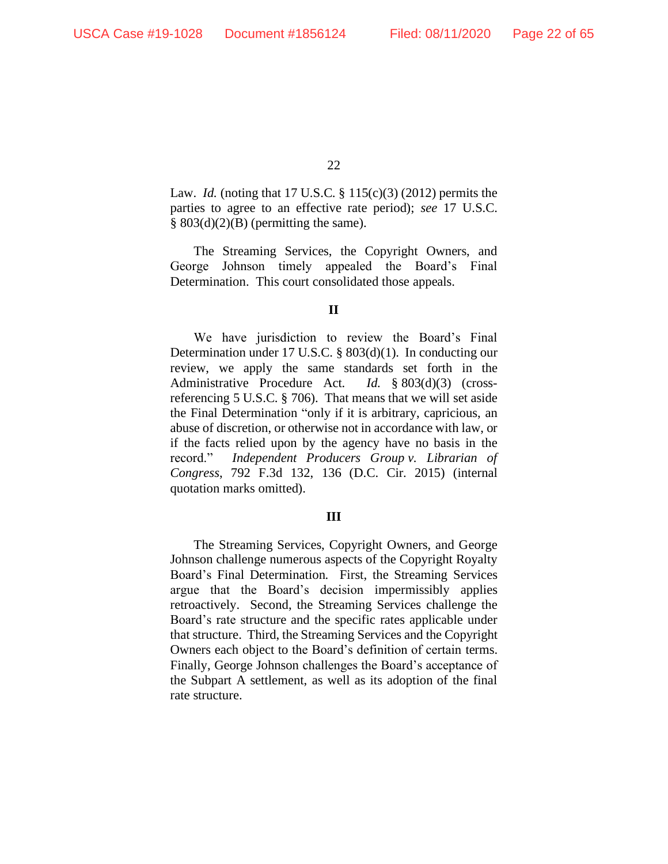Law. *Id.* (noting that 17 U.S.C. § 115(c)(3) (2012) permits the parties to agree to an effective rate period); *see* 17 U.S.C.  $§ 803(d)(2)(B)$  (permitting the same).

The Streaming Services, the Copyright Owners, and George Johnson timely appealed the Board's Final Determination. This court consolidated those appeals.

# **II**

We have jurisdiction to review the Board's Final Determination under 17 U.S.C. § 803(d)(1). In conducting our review, we apply the same standards set forth in the Administrative Procedure Act. *Id.* § 803(d)(3) (crossreferencing 5 U.S.C. § 706). That means that we will set aside the Final Determination "only if it is arbitrary, capricious, an abuse of discretion, or otherwise not in accordance with law, or if the facts relied upon by the agency have no basis in the record." *Independent Producers Group v. Librarian of Congress*, 792 F.3d 132, 136 (D.C. Cir. 2015) (internal quotation marks omitted).

#### **III**

The Streaming Services, Copyright Owners, and George Johnson challenge numerous aspects of the Copyright Royalty Board's Final Determination. First, the Streaming Services argue that the Board's decision impermissibly applies retroactively. Second, the Streaming Services challenge the Board's rate structure and the specific rates applicable under that structure. Third, the Streaming Services and the Copyright Owners each object to the Board's definition of certain terms. Finally, George Johnson challenges the Board's acceptance of the Subpart A settlement, as well as its adoption of the final rate structure.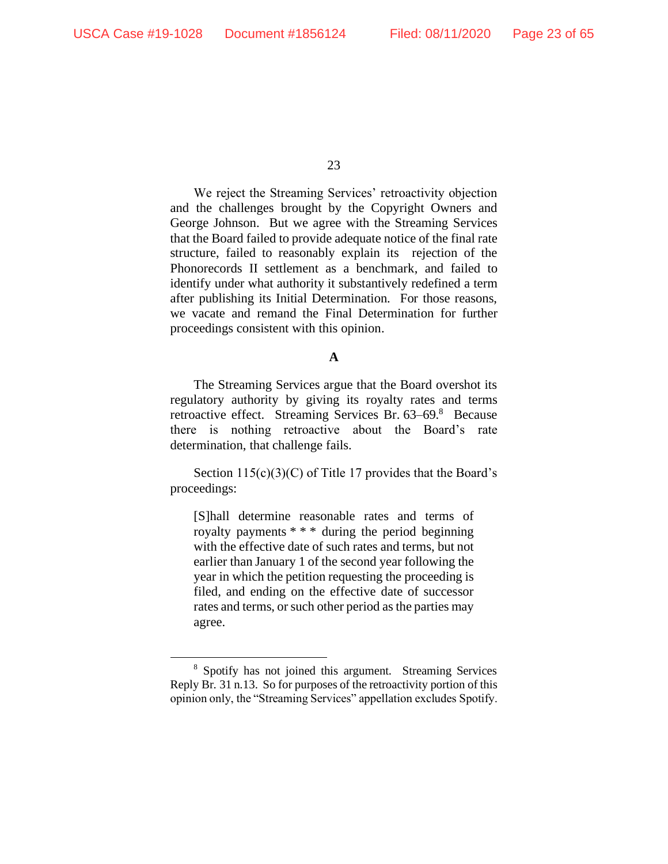We reject the Streaming Services' retroactivity objection and the challenges brought by the Copyright Owners and George Johnson. But we agree with the Streaming Services that the Board failed to provide adequate notice of the final rate structure, failed to reasonably explain its rejection of the Phonorecords II settlement as a benchmark, and failed to identify under what authority it substantively redefined a term after publishing its Initial Determination. For those reasons, we vacate and remand the Final Determination for further proceedings consistent with this opinion.

## **A**

The Streaming Services argue that the Board overshot its regulatory authority by giving its royalty rates and terms retroactive effect. Streaming Services Br. 63–69.8 Because there is nothing retroactive about the Board's rate determination, that challenge fails.

Section  $115(c)(3)(C)$  of Title 17 provides that the Board's proceedings:

[S]hall determine reasonable rates and terms of royalty payments \* \* \* during the period beginning with the effective date of such rates and terms, but not earlier than January 1 of the second year following the year in which the petition requesting the proceeding is filed, and ending on the effective date of successor rates and terms, or such other period as the parties may agree.

<sup>8</sup> Spotify has not joined this argument. Streaming Services Reply Br. 31 n.13. So for purposes of the retroactivity portion of this opinion only, the "Streaming Services" appellation excludes Spotify.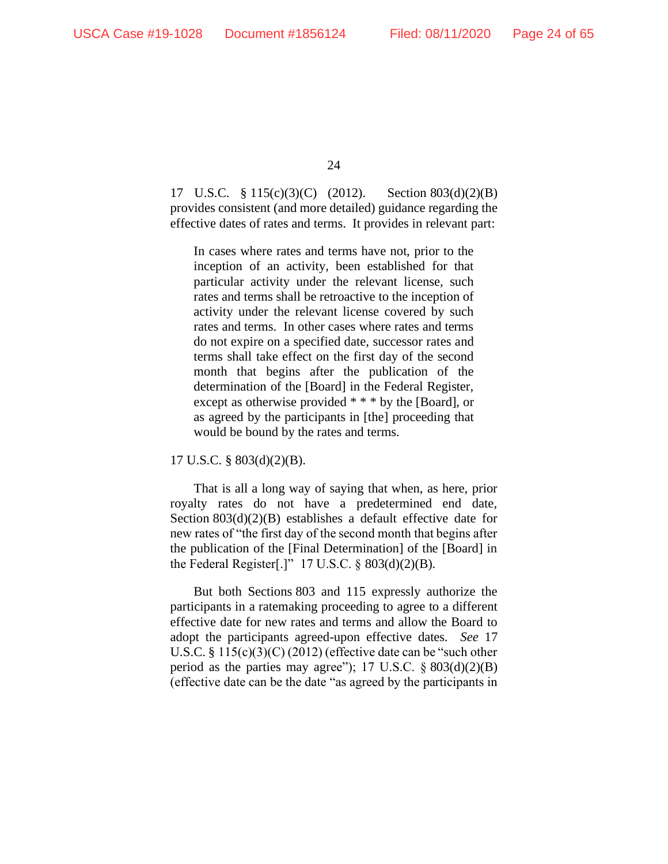17 U.S.C. § 115(c)(3)(C) (2012). Section 803(d)(2)(B) provides consistent (and more detailed) guidance regarding the effective dates of rates and terms. It provides in relevant part:

In cases where rates and terms have not, prior to the inception of an activity, been established for that particular activity under the relevant license, such rates and terms shall be retroactive to the inception of activity under the relevant license covered by such rates and terms. In other cases where rates and terms do not expire on a specified date, successor rates and terms shall take effect on the first day of the second month that begins after the publication of the determination of the [Board] in the Federal Register, except as otherwise provided \* \* \* by the [Board], or as agreed by the participants in [the] proceeding that would be bound by the rates and terms.

17 U.S.C. § 803(d)(2)(B).

That is all a long way of saying that when, as here, prior royalty rates do not have a predetermined end date, Section 803(d)(2)(B) establishes a default effective date for new rates of "the first day of the second month that begins after the publication of the [Final Determination] of the [Board] in the Federal Register[.]"  $17$  U.S.C. § 803(d)(2)(B).

But both Sections 803 and 115 expressly authorize the participants in a ratemaking proceeding to agree to a different effective date for new rates and terms and allow the Board to adopt the participants agreed-upon effective dates. *See* 17 U.S.C. § 115(c)(3)(C) (2012) (effective date can be "such other period as the parties may agree"); 17 U.S.C.  $\S 803(d)(2)(B)$ (effective date can be the date "as agreed by the participants in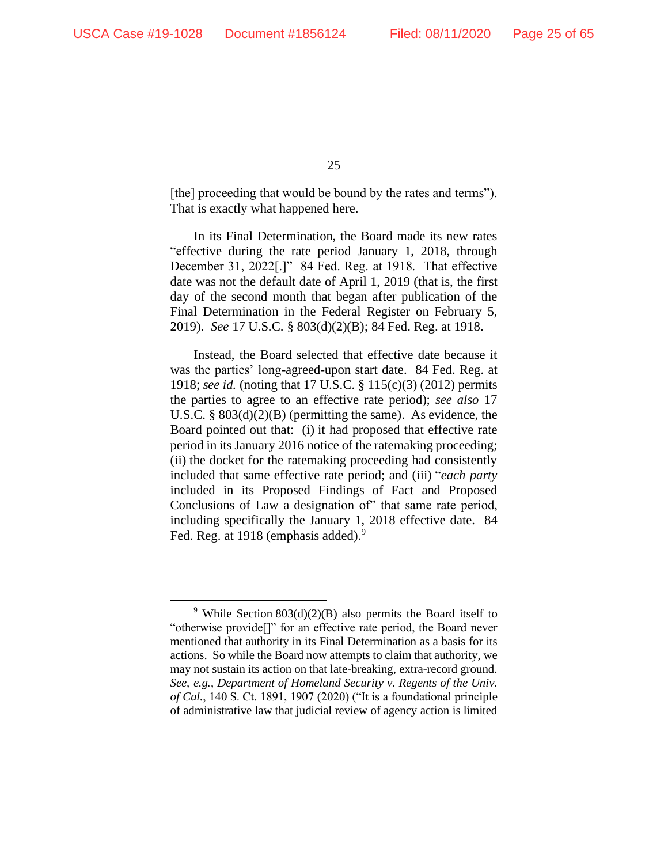[the] proceeding that would be bound by the rates and terms"). That is exactly what happened here.

In its Final Determination, the Board made its new rates "effective during the rate period January 1, 2018, through December 31, 2022[.]" 84 Fed. Reg. at 1918. That effective date was not the default date of April 1, 2019 (that is, the first day of the second month that began after publication of the Final Determination in the Federal Register on February 5, 2019). *See* 17 U.S.C. § 803(d)(2)(B); 84 Fed. Reg. at 1918.

Instead, the Board selected that effective date because it was the parties' long-agreed-upon start date. 84 Fed. Reg. at 1918; *see id.* (noting that 17 U.S.C. § 115(c)(3) (2012) permits the parties to agree to an effective rate period); *see also* 17 U.S.C. § 803(d)(2)(B) (permitting the same). As evidence, the Board pointed out that: (i) it had proposed that effective rate period in its January 2016 notice of the ratemaking proceeding; (ii) the docket for the ratemaking proceeding had consistently included that same effective rate period; and (iii) "*each party* included in its Proposed Findings of Fact and Proposed Conclusions of Law a designation of" that same rate period, including specifically the January 1, 2018 effective date. 84 Fed. Reg. at 1918 (emphasis added).<sup>9</sup>

<sup>&</sup>lt;sup>9</sup> While Section 803(d)(2)(B) also permits the Board itself to "otherwise provide[]" for an effective rate period, the Board never mentioned that authority in its Final Determination as a basis for its actions. So while the Board now attempts to claim that authority, we may not sustain its action on that late-breaking, extra-record ground. *See, e.g.*, *Department of Homeland Security v. Regents of the Univ. of Cal.*, 140 S. Ct. 1891, 1907 (2020) ("It is a foundational principle of administrative law that judicial review of agency action is limited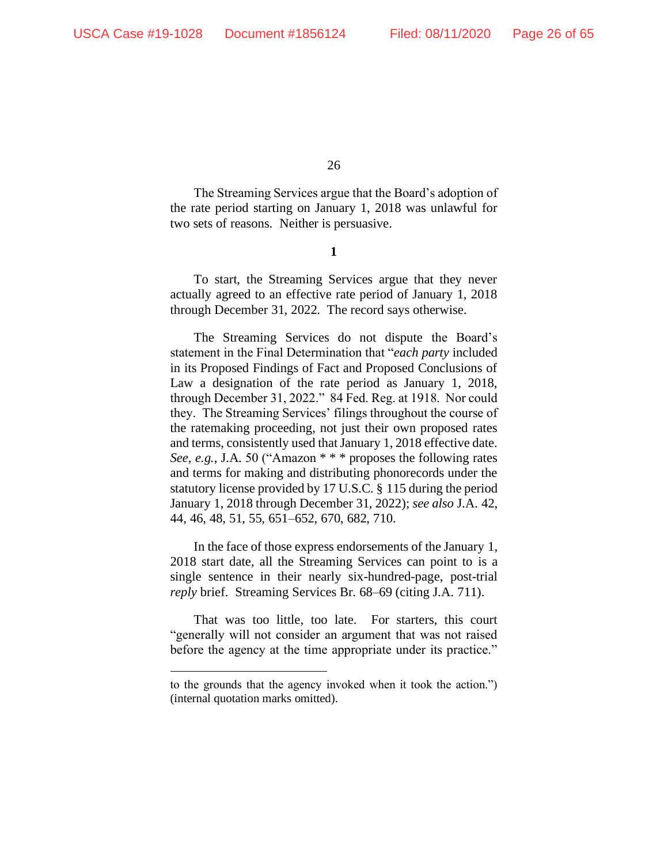The Streaming Services argue that the Board's adoption of the rate period starting on January 1, 2018 was unlawful for two sets of reasons. Neither is persuasive.

**1**

To start, the Streaming Services argue that they never actually agreed to an effective rate period of January 1, 2018 through December 31, 2022. The record says otherwise.

The Streaming Services do not dispute the Board's statement in the Final Determination that "*each party* included in its Proposed Findings of Fact and Proposed Conclusions of Law a designation of the rate period as January 1, 2018, through December 31, 2022." 84 Fed. Reg. at 1918. Nor could they. The Streaming Services' filings throughout the course of the ratemaking proceeding, not just their own proposed rates and terms, consistently used that January 1, 2018 effective date. *See, e.g.*, J.A. 50 ("Amazon \* \* \* proposes the following rates and terms for making and distributing phonorecords under the statutory license provided by 17 U.S.C. § 115 during the period January 1, 2018 through December 31, 2022); *see also* J.A. 42, 44, 46, 48, 51, 55, 651–652, 670, 682, 710.

In the face of those express endorsements of the January 1, 2018 start date, all the Streaming Services can point to is a single sentence in their nearly six-hundred-page, post-trial *reply* brief. Streaming Services Br. 68–69 (citing J.A. 711).

That was too little, too late. For starters, this court "generally will not consider an argument that was not raised before the agency at the time appropriate under its practice."

to the grounds that the agency invoked when it took the action.") (internal quotation marks omitted).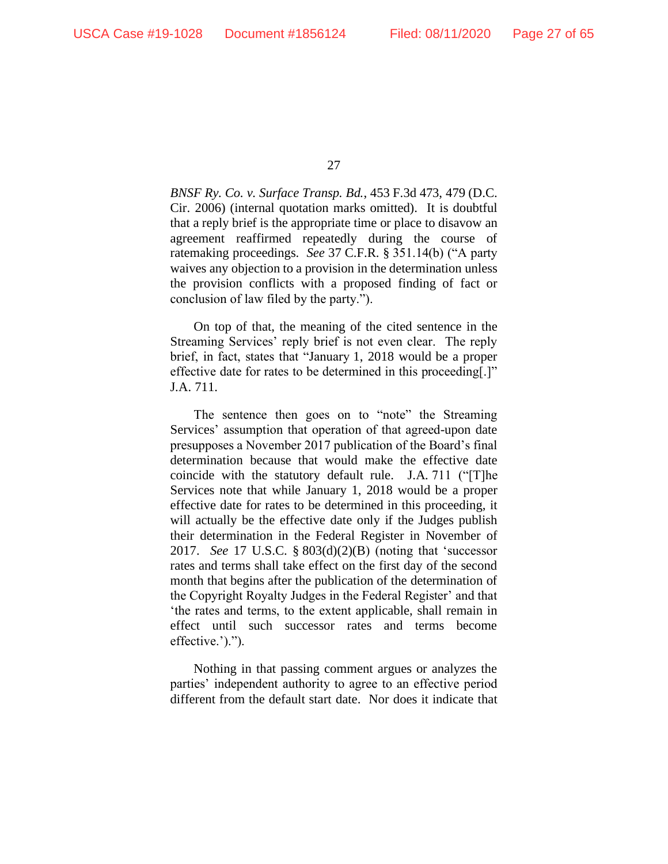*BNSF Ry. Co. v. Surface Transp. Bd.*, 453 F.3d 473, 479 (D.C. Cir. 2006) (internal quotation marks omitted). It is doubtful that a reply brief is the appropriate time or place to disavow an agreement reaffirmed repeatedly during the course of ratemaking proceedings. *See* 37 C.F.R. § 351.14(b) ("A party waives any objection to a provision in the determination unless the provision conflicts with a proposed finding of fact or conclusion of law filed by the party.").

On top of that, the meaning of the cited sentence in the Streaming Services' reply brief is not even clear. The reply brief, in fact, states that "January 1, 2018 would be a proper effective date for rates to be determined in this proceeding[.]" J.A. 711.

The sentence then goes on to "note" the Streaming Services' assumption that operation of that agreed-upon date presupposes a November 2017 publication of the Board's final determination because that would make the effective date coincide with the statutory default rule. J.A. 711 ("[T]he Services note that while January 1, 2018 would be a proper effective date for rates to be determined in this proceeding, it will actually be the effective date only if the Judges publish their determination in the Federal Register in November of 2017. *See* 17 U.S.C. § 803(d)(2)(B) (noting that 'successor rates and terms shall take effect on the first day of the second month that begins after the publication of the determination of the Copyright Royalty Judges in the Federal Register' and that 'the rates and terms, to the extent applicable, shall remain in effect until such successor rates and terms become effective.').").

Nothing in that passing comment argues or analyzes the parties' independent authority to agree to an effective period different from the default start date. Nor does it indicate that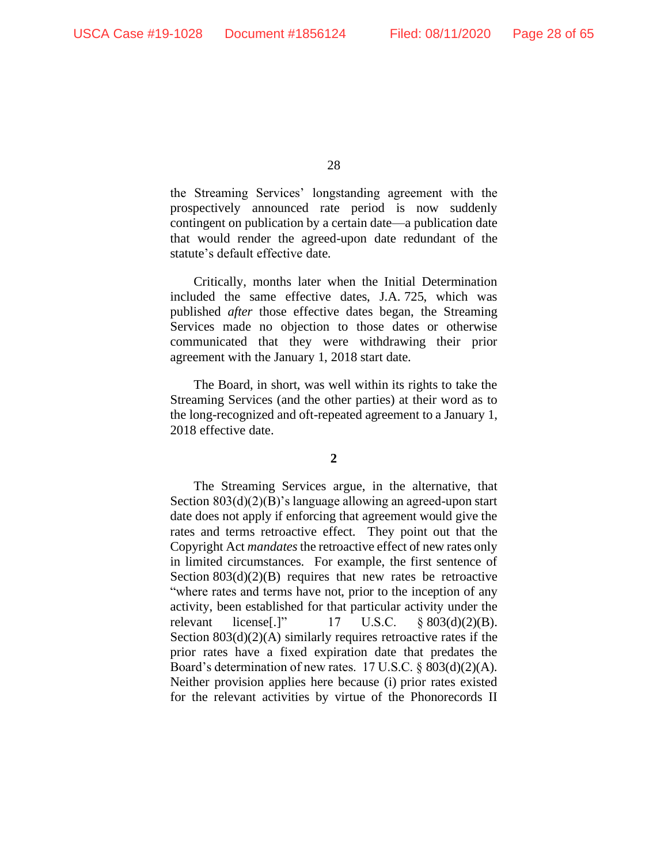the Streaming Services' longstanding agreement with the prospectively announced rate period is now suddenly contingent on publication by a certain date—a publication date that would render the agreed-upon date redundant of the statute's default effective date.

Critically, months later when the Initial Determination included the same effective dates, J.A. 725, which was published *after* those effective dates began, the Streaming Services made no objection to those dates or otherwise communicated that they were withdrawing their prior agreement with the January 1, 2018 start date.

The Board, in short, was well within its rights to take the Streaming Services (and the other parties) at their word as to the long-recognized and oft-repeated agreement to a January 1, 2018 effective date.

**2**

The Streaming Services argue, in the alternative, that Section 803(d)(2)(B)'s language allowing an agreed-upon start date does not apply if enforcing that agreement would give the rates and terms retroactive effect. They point out that the Copyright Act *mandates*the retroactive effect of new rates only in limited circumstances. For example, the first sentence of Section  $803(d)(2)(B)$  requires that new rates be retroactive "where rates and terms have not, prior to the inception of any activity, been established for that particular activity under the relevant license<sup>[1]</sup> 17 U.S.C.  $\&$  803(d)(2)(B). Section  $803(d)(2)(A)$  similarly requires retroactive rates if the prior rates have a fixed expiration date that predates the Board's determination of new rates. 17 U.S.C. § 803(d)(2)(A). Neither provision applies here because (i) prior rates existed for the relevant activities by virtue of the Phonorecords II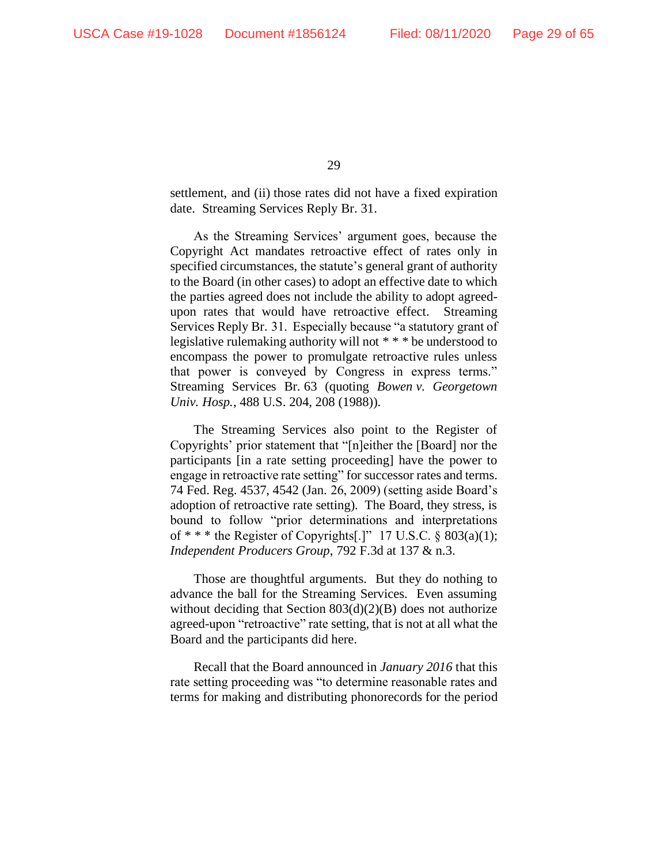settlement, and (ii) those rates did not have a fixed expiration date. Streaming Services Reply Br. 31.

As the Streaming Services' argument goes, because the Copyright Act mandates retroactive effect of rates only in specified circumstances, the statute's general grant of authority to the Board (in other cases) to adopt an effective date to which the parties agreed does not include the ability to adopt agreedupon rates that would have retroactive effect. Streaming Services Reply Br. 31. Especially because "a statutory grant of legislative rulemaking authority will not \* \* \* be understood to encompass the power to promulgate retroactive rules unless that power is conveyed by Congress in express terms." Streaming Services Br. 63 (quoting *Bowen v. Georgetown Univ. Hosp.*, 488 U.S. 204, 208 (1988)).

The Streaming Services also point to the Register of Copyrights' prior statement that "[n]either the [Board] nor the participants [in a rate setting proceeding] have the power to engage in retroactive rate setting" for successor rates and terms. 74 Fed. Reg. 4537, 4542 (Jan. 26, 2009) (setting aside Board's adoption of retroactive rate setting). The Board, they stress, is bound to follow "prior determinations and interpretations of \* \* \* the Register of Copyrights[.]" 17 U.S.C. § 803(a)(1); *Independent Producers Group*, 792 F.3d at 137 & n.3.

Those are thoughtful arguments. But they do nothing to advance the ball for the Streaming Services. Even assuming without deciding that Section 803(d)(2)(B) does not authorize agreed-upon "retroactive" rate setting, that is not at all what the Board and the participants did here.

Recall that the Board announced in *January 2016* that this rate setting proceeding was "to determine reasonable rates and terms for making and distributing phonorecords for the period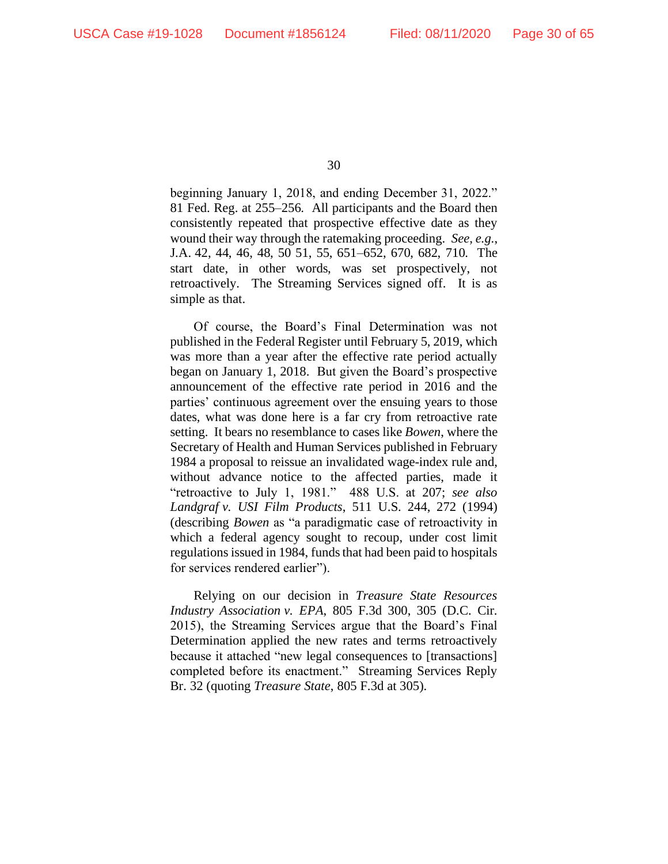beginning January 1, 2018, and ending December 31, 2022." 81 Fed. Reg. at 255–256. All participants and the Board then consistently repeated that prospective effective date as they wound their way through the ratemaking proceeding. *See, e.g.*, J.A. 42, 44, 46, 48, 50 51, 55, 651–652, 670, 682, 710. The start date, in other words, was set prospectively, not retroactively. The Streaming Services signed off. It is as simple as that.

Of course, the Board's Final Determination was not published in the Federal Register until February 5, 2019, which was more than a year after the effective rate period actually began on January 1, 2018. But given the Board's prospective announcement of the effective rate period in 2016 and the parties' continuous agreement over the ensuing years to those dates, what was done here is a far cry from retroactive rate setting. It bears no resemblance to cases like *Bowen*, where the Secretary of Health and Human Services published in February 1984 a proposal to reissue an invalidated wage-index rule and, without advance notice to the affected parties, made it "retroactive to July 1, 1981." 488 U.S. at 207; *see also Landgraf v. USI Film Products*, 511 U.S. 244, 272 (1994) (describing *Bowen* as "a paradigmatic case of retroactivity in which a federal agency sought to recoup, under cost limit regulations issued in 1984, funds that had been paid to hospitals for services rendered earlier").

Relying on our decision in *Treasure State Resources Industry Association v. EPA*, 805 F.3d 300, 305 (D.C. Cir. 2015), the Streaming Services argue that the Board's Final Determination applied the new rates and terms retroactively because it attached "new legal consequences to [transactions] completed before its enactment." Streaming Services Reply Br. 32 (quoting *Treasure State*, 805 F.3d at 305).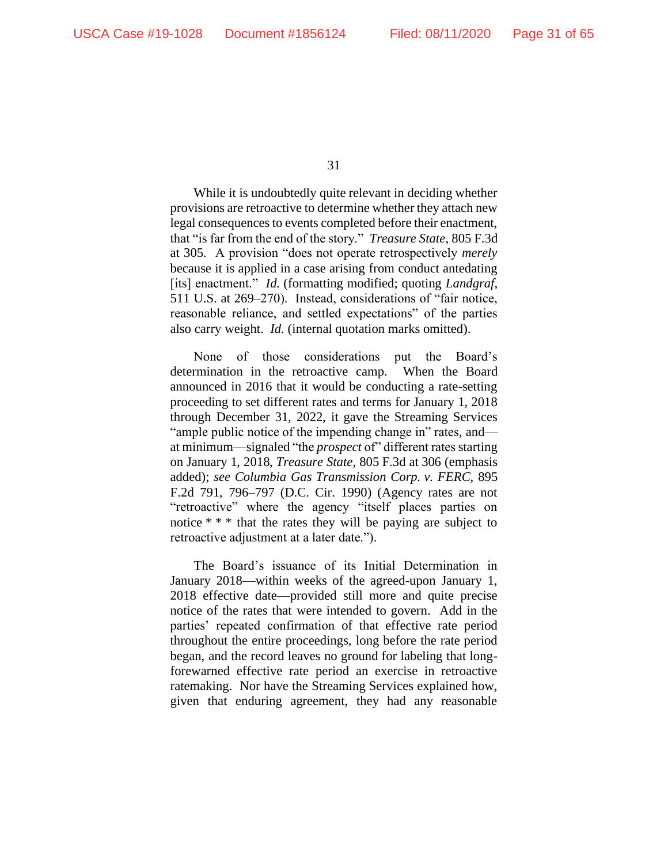While it is undoubtedly quite relevant in deciding whether provisions are retroactive to determine whether they attach new legal consequences to events completed before their enactment, that "is far from the end of the story." *Treasure State*, 805 F.3d at 305*.* A provision "does not operate retrospectively *merely*  because it is applied in a case arising from conduct antedating [its] enactment." *Id*. (formatting modified; quoting *Landgraf*, 511 U.S. at 269–270). Instead, considerations of "fair notice, reasonable reliance, and settled expectations" of the parties also carry weight. *Id.* (internal quotation marks omitted).

None of those considerations put the Board's determination in the retroactive camp. When the Board announced in 2016 that it would be conducting a rate-setting proceeding to set different rates and terms for January 1, 2018 through December 31, 2022, it gave the Streaming Services "ample public notice of the impending change in" rates, and at minimum—signaled "the *prospect* of" different rates starting on January 1, 2018, *Treasure State*, 805 F.3d at 306 (emphasis added); *see Columbia Gas Transmission Corp. v. FERC*, 895 F.2d 791, 796–797 (D.C. Cir. 1990) (Agency rates are not "retroactive" where the agency "itself places parties on notice \* \* \* that the rates they will be paying are subject to retroactive adjustment at a later date.").

The Board's issuance of its Initial Determination in January 2018—within weeks of the agreed-upon January 1, 2018 effective date—provided still more and quite precise notice of the rates that were intended to govern. Add in the parties' repeated confirmation of that effective rate period throughout the entire proceedings, long before the rate period began, and the record leaves no ground for labeling that longforewarned effective rate period an exercise in retroactive ratemaking. Nor have the Streaming Services explained how, given that enduring agreement, they had any reasonable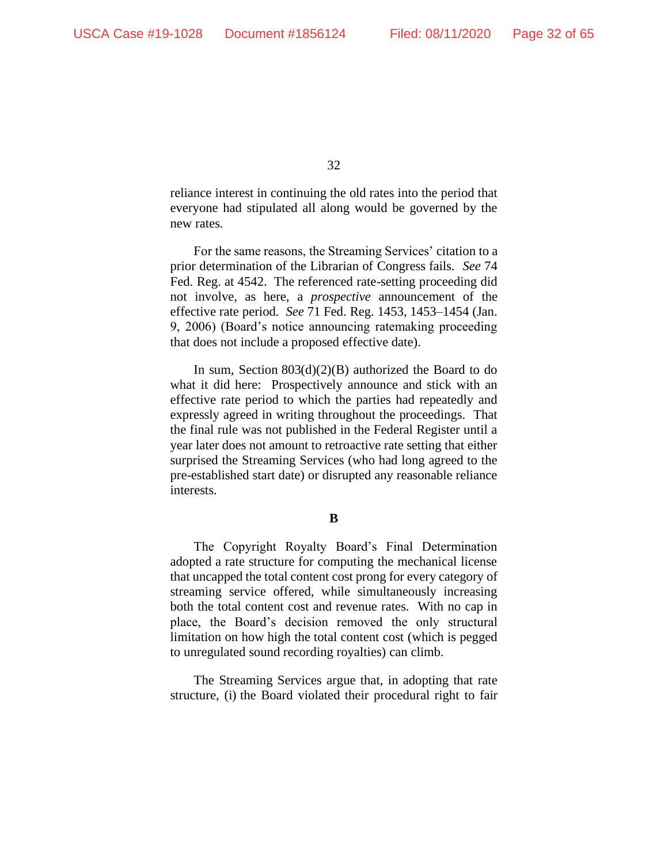reliance interest in continuing the old rates into the period that everyone had stipulated all along would be governed by the new rates.

For the same reasons, the Streaming Services' citation to a prior determination of the Librarian of Congress fails. *See* 74 Fed. Reg. at 4542. The referenced rate-setting proceeding did not involve, as here, a *prospective* announcement of the effective rate period. *See* 71 Fed. Reg. 1453, 1453–1454 (Jan. 9, 2006) (Board's notice announcing ratemaking proceeding that does not include a proposed effective date).

In sum, Section  $803(d)(2)(B)$  authorized the Board to do what it did here: Prospectively announce and stick with an effective rate period to which the parties had repeatedly and expressly agreed in writing throughout the proceedings. That the final rule was not published in the Federal Register until a year later does not amount to retroactive rate setting that either surprised the Streaming Services (who had long agreed to the pre-established start date) or disrupted any reasonable reliance interests.

**B**

The Copyright Royalty Board's Final Determination adopted a rate structure for computing the mechanical license that uncapped the total content cost prong for every category of streaming service offered, while simultaneously increasing both the total content cost and revenue rates. With no cap in place, the Board's decision removed the only structural limitation on how high the total content cost (which is pegged to unregulated sound recording royalties) can climb.

The Streaming Services argue that, in adopting that rate structure, (i) the Board violated their procedural right to fair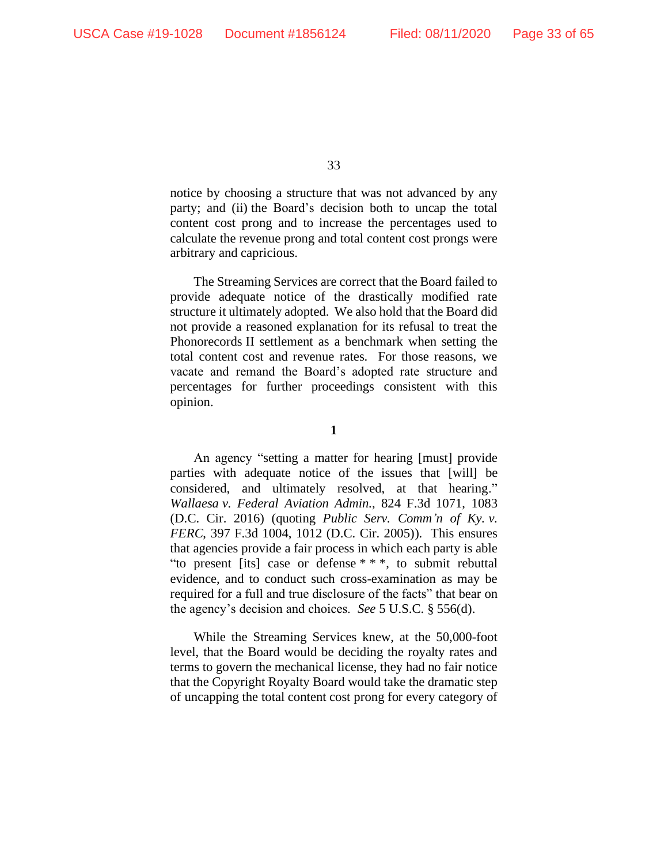notice by choosing a structure that was not advanced by any party; and (ii) the Board's decision both to uncap the total content cost prong and to increase the percentages used to calculate the revenue prong and total content cost prongs were arbitrary and capricious.

The Streaming Services are correct that the Board failed to provide adequate notice of the drastically modified rate structure it ultimately adopted. We also hold that the Board did not provide a reasoned explanation for its refusal to treat the Phonorecords II settlement as a benchmark when setting the total content cost and revenue rates. For those reasons, we vacate and remand the Board's adopted rate structure and percentages for further proceedings consistent with this opinion.

**1**

An agency "setting a matter for hearing [must] provide parties with adequate notice of the issues that [will] be considered, and ultimately resolved, at that hearing." *Wallaesa v. Federal Aviation Admin.*, 824 F.3d 1071, 1083 (D.C. Cir. 2016) (quoting *Public Serv. Comm'n of Ky. v. FERC*, 397 F.3d 1004, 1012 (D.C. Cir. 2005)). This ensures that agencies provide a fair process in which each party is able "to present [its] case or defense \* \* \*, to submit rebuttal evidence, and to conduct such cross-examination as may be required for a full and true disclosure of the facts" that bear on the agency's decision and choices. *See* 5 U.S.C. § 556(d).

While the Streaming Services knew, at the 50,000-foot level, that the Board would be deciding the royalty rates and terms to govern the mechanical license, they had no fair notice that the Copyright Royalty Board would take the dramatic step of uncapping the total content cost prong for every category of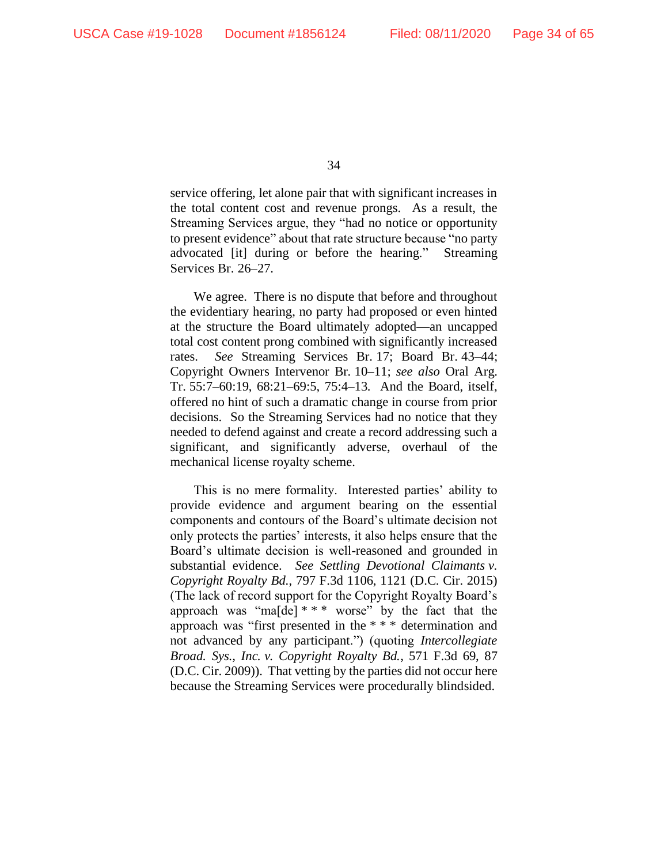service offering, let alone pair that with significant increases in the total content cost and revenue prongs. As a result, the Streaming Services argue, they "had no notice or opportunity to present evidence" about that rate structure because "no party advocated [it] during or before the hearing." Streaming Services Br. 26–27.

We agree. There is no dispute that before and throughout the evidentiary hearing, no party had proposed or even hinted at the structure the Board ultimately adopted—an uncapped total cost content prong combined with significantly increased rates. *See* Streaming Services Br. 17; Board Br. 43–44; Copyright Owners Intervenor Br. 10–11; *see also* Oral Arg. Tr. 55:7–60:19, 68:21–69:5, 75:4–13. And the Board, itself, offered no hint of such a dramatic change in course from prior decisions. So the Streaming Services had no notice that they needed to defend against and create a record addressing such a significant, and significantly adverse, overhaul of the mechanical license royalty scheme.

This is no mere formality. Interested parties' ability to provide evidence and argument bearing on the essential components and contours of the Board's ultimate decision not only protects the parties' interests, it also helps ensure that the Board's ultimate decision is well-reasoned and grounded in substantial evidence. *See Settling Devotional Claimants v. Copyright Royalty Bd.*, 797 F.3d 1106, 1121 (D.C. Cir. 2015) (The lack of record support for the Copyright Royalty Board's approach was "ma[de]  $***$  worse" by the fact that the approach was "first presented in the \* \* \* determination and not advanced by any participant.") (quoting *Intercollegiate Broad. Sys., Inc. v. Copyright Royalty Bd.*, 571 F.3d 69, 87 (D.C. Cir. 2009)). That vetting by the parties did not occur here because the Streaming Services were procedurally blindsided.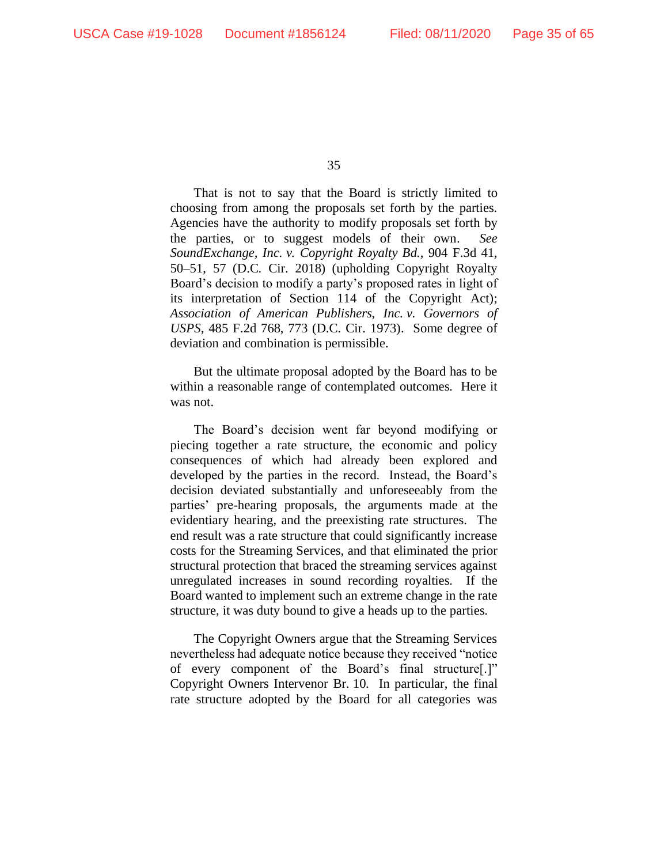That is not to say that the Board is strictly limited to choosing from among the proposals set forth by the parties. Agencies have the authority to modify proposals set forth by the parties, or to suggest models of their own. *See SoundExchange, Inc. v. Copyright Royalty Bd.*, 904 F.3d 41, 50–51, 57 (D.C. Cir. 2018) (upholding Copyright Royalty Board's decision to modify a party's proposed rates in light of its interpretation of Section 114 of the Copyright Act); *Association of American Publishers, Inc. v. Governors of USPS*, 485 F.2d 768, 773 (D.C. Cir. 1973). Some degree of deviation and combination is permissible.

But the ultimate proposal adopted by the Board has to be within a reasonable range of contemplated outcomes. Here it was not.

The Board's decision went far beyond modifying or piecing together a rate structure, the economic and policy consequences of which had already been explored and developed by the parties in the record. Instead, the Board's decision deviated substantially and unforeseeably from the parties' pre-hearing proposals, the arguments made at the evidentiary hearing, and the preexisting rate structures. The end result was a rate structure that could significantly increase costs for the Streaming Services, and that eliminated the prior structural protection that braced the streaming services against unregulated increases in sound recording royalties. If the Board wanted to implement such an extreme change in the rate structure, it was duty bound to give a heads up to the parties.

The Copyright Owners argue that the Streaming Services nevertheless had adequate notice because they received "notice of every component of the Board's final structure[.]" Copyright Owners Intervenor Br. 10. In particular, the final rate structure adopted by the Board for all categories was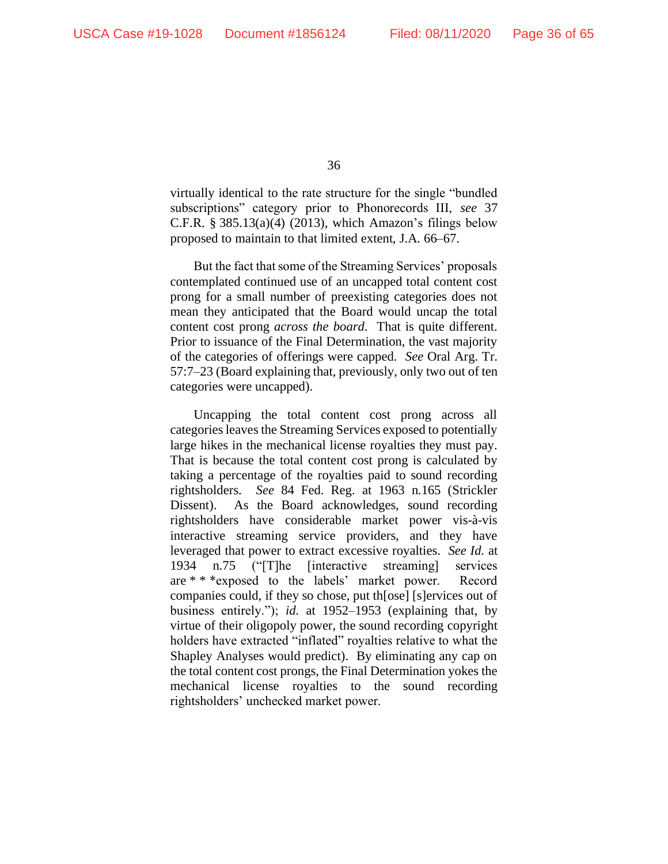virtually identical to the rate structure for the single "bundled subscriptions" category prior to Phonorecords III, *see* 37 C.F.R.  $\S 385.13(a)(4)$  (2013), which Amazon's filings below proposed to maintain to that limited extent, J.A. 66–67.

But the fact that some of the Streaming Services' proposals contemplated continued use of an uncapped total content cost prong for a small number of preexisting categories does not mean they anticipated that the Board would uncap the total content cost prong *across the board*. That is quite different. Prior to issuance of the Final Determination, the vast majority of the categories of offerings were capped. *See* Oral Arg. Tr. 57:7–23 (Board explaining that, previously, only two out of ten categories were uncapped).

Uncapping the total content cost prong across all categories leaves the Streaming Services exposed to potentially large hikes in the mechanical license royalties they must pay. That is because the total content cost prong is calculated by taking a percentage of the royalties paid to sound recording rightsholders. *See* 84 Fed. Reg. at 1963 n.165 (Strickler Dissent). As the Board acknowledges, sound recording rightsholders have considerable market power vis-à-vis interactive streaming service providers, and they have leveraged that power to extract excessive royalties. *See Id.* at 1934 n.75 ("[T]he [interactive streaming] services are \* \* \*exposed to the labels' market power. Record companies could, if they so chose, put th[ose] [s]ervices out of business entirely."); *id.* at 1952–1953 (explaining that, by virtue of their oligopoly power, the sound recording copyright holders have extracted "inflated" royalties relative to what the Shapley Analyses would predict). By eliminating any cap on the total content cost prongs, the Final Determination yokes the mechanical license royalties to the sound recording rightsholders' unchecked market power.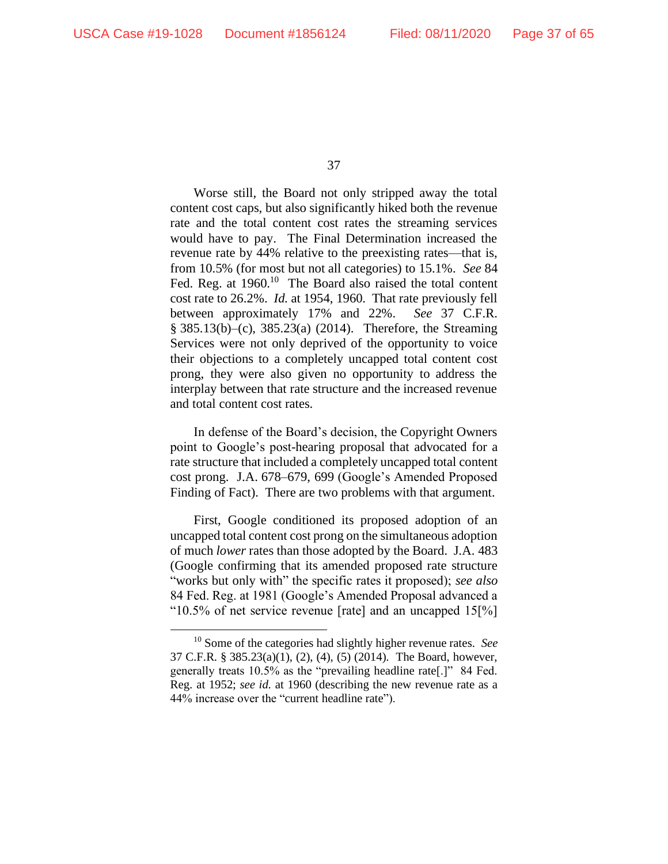Worse still, the Board not only stripped away the total content cost caps, but also significantly hiked both the revenue rate and the total content cost rates the streaming services would have to pay. The Final Determination increased the revenue rate by 44% relative to the preexisting rates—that is, from 10.5% (for most but not all categories) to 15.1%. *See* 84 Fed. Reg. at 1960.<sup>10</sup> The Board also raised the total content cost rate to 26.2%. *Id.* at 1954, 1960. That rate previously fell between approximately 17% and 22%. *See* 37 C.F.R. § 385.13(b)–(c), 385.23(a) (2014). Therefore, the Streaming Services were not only deprived of the opportunity to voice their objections to a completely uncapped total content cost prong, they were also given no opportunity to address the interplay between that rate structure and the increased revenue and total content cost rates.

In defense of the Board's decision, the Copyright Owners point to Google's post-hearing proposal that advocated for a rate structure that included a completely uncapped total content cost prong. J.A. 678–679, 699 (Google's Amended Proposed Finding of Fact). There are two problems with that argument.

First, Google conditioned its proposed adoption of an uncapped total content cost prong on the simultaneous adoption of much *lower* rates than those adopted by the Board. J.A. 483 (Google confirming that its amended proposed rate structure "works but only with" the specific rates it proposed); *see also*  84 Fed. Reg. at 1981 (Google's Amended Proposal advanced a "10.5% of net service revenue [rate] and an uncapped  $15\frac{1}{6}$ ]

<sup>10</sup> Some of the categories had slightly higher revenue rates. *See* 37 C.F.R. § 385.23(a)(1), (2), (4), (5) (2014). The Board, however, generally treats 10.5% as the "prevailing headline rate[.]" 84 Fed. Reg. at 1952; *see id.* at 1960 (describing the new revenue rate as a 44% increase over the "current headline rate").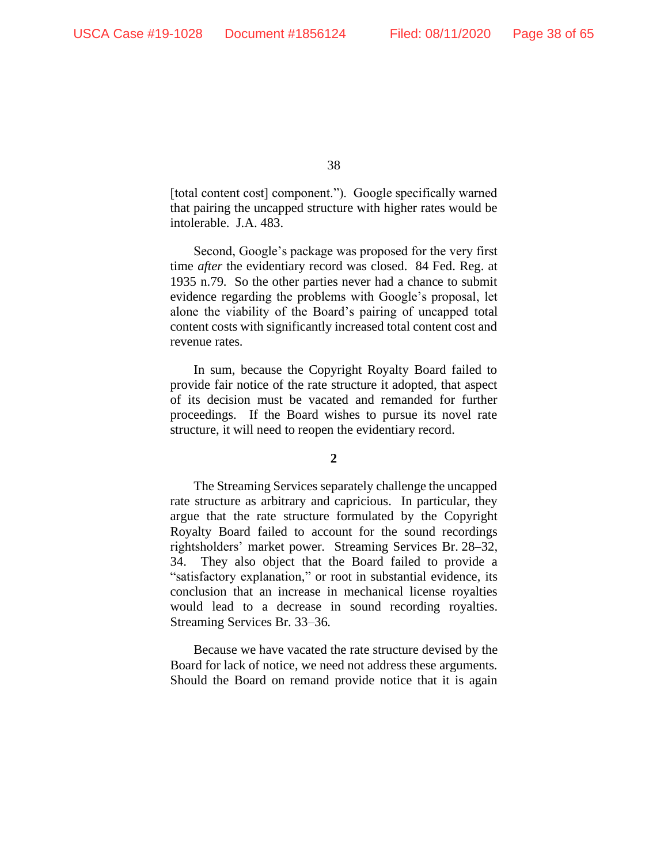[total content cost] component."). Google specifically warned that pairing the uncapped structure with higher rates would be intolerable. J.A. 483.

Second, Google's package was proposed for the very first time *after* the evidentiary record was closed. 84 Fed. Reg. at 1935 n.79. So the other parties never had a chance to submit evidence regarding the problems with Google's proposal, let alone the viability of the Board's pairing of uncapped total content costs with significantly increased total content cost and revenue rates.

In sum, because the Copyright Royalty Board failed to provide fair notice of the rate structure it adopted, that aspect of its decision must be vacated and remanded for further proceedings. If the Board wishes to pursue its novel rate structure, it will need to reopen the evidentiary record.

#### **2**

The Streaming Services separately challenge the uncapped rate structure as arbitrary and capricious. In particular, they argue that the rate structure formulated by the Copyright Royalty Board failed to account for the sound recordings rightsholders' market power. Streaming Services Br. 28–32, 34. They also object that the Board failed to provide a "satisfactory explanation," or root in substantial evidence, its conclusion that an increase in mechanical license royalties would lead to a decrease in sound recording royalties. Streaming Services Br. 33–36.

Because we have vacated the rate structure devised by the Board for lack of notice, we need not address these arguments. Should the Board on remand provide notice that it is again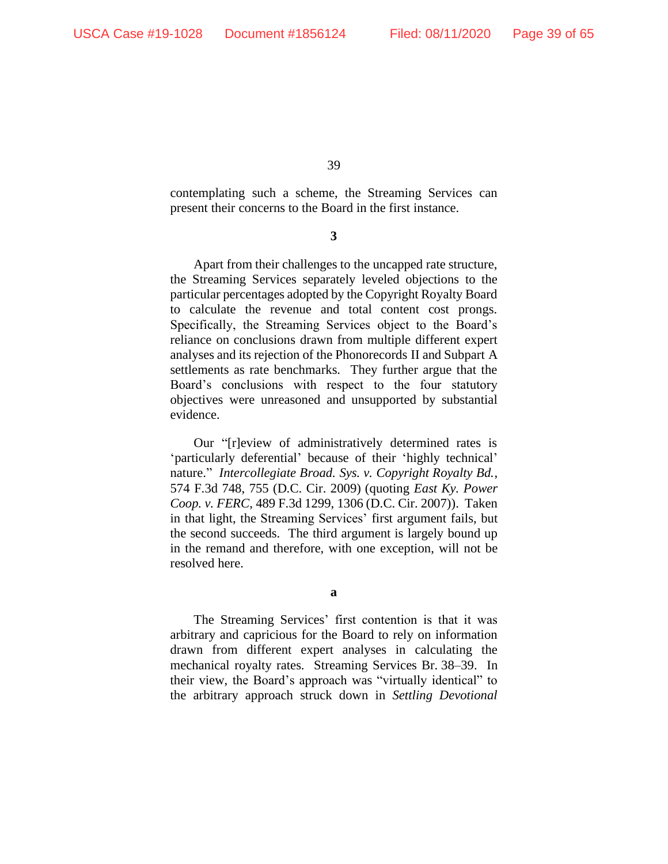contemplating such a scheme, the Streaming Services can present their concerns to the Board in the first instance.

**3**

Apart from their challenges to the uncapped rate structure, the Streaming Services separately leveled objections to the particular percentages adopted by the Copyright Royalty Board to calculate the revenue and total content cost prongs. Specifically, the Streaming Services object to the Board's reliance on conclusions drawn from multiple different expert analyses and its rejection of the Phonorecords II and Subpart A settlements as rate benchmarks. They further argue that the Board's conclusions with respect to the four statutory objectives were unreasoned and unsupported by substantial evidence.

Our "[r]eview of administratively determined rates is 'particularly deferential' because of their 'highly technical' nature." *Intercollegiate Broad. Sys. v. Copyright Royalty Bd.*, 574 F.3d 748, 755 (D.C. Cir. 2009) (quoting *East Ky. Power Coop. v. FERC*, 489 F.3d 1299, 1306 (D.C. Cir. 2007)). Taken in that light, the Streaming Services' first argument fails, but the second succeeds. The third argument is largely bound up in the remand and therefore, with one exception, will not be resolved here.

**a**

The Streaming Services' first contention is that it was arbitrary and capricious for the Board to rely on information drawn from different expert analyses in calculating the mechanical royalty rates. Streaming Services Br. 38–39. In their view, the Board's approach was "virtually identical" to the arbitrary approach struck down in *Settling Devotional*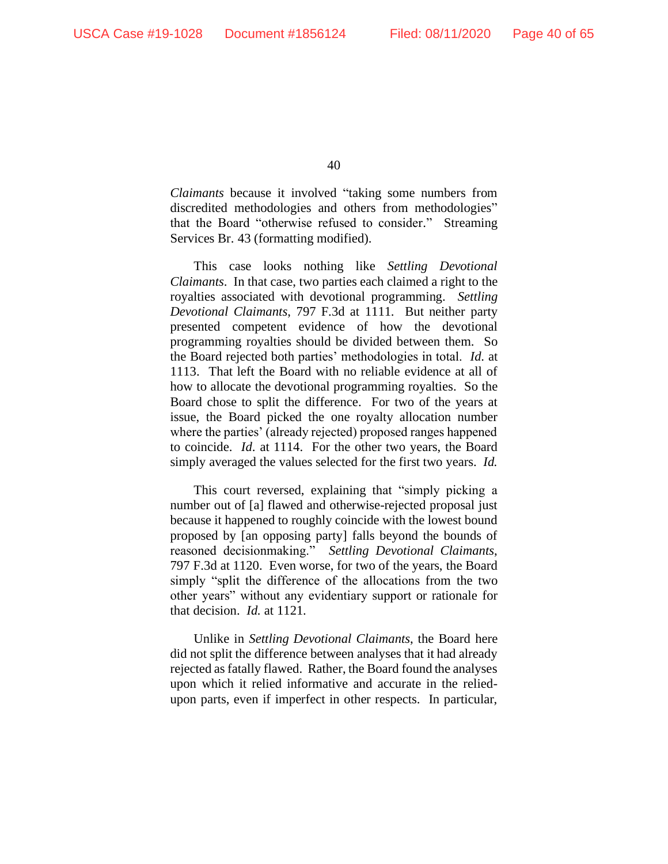*Claimants* because it involved "taking some numbers from discredited methodologies and others from methodologies" that the Board "otherwise refused to consider." Streaming Services Br. 43 (formatting modified).

This case looks nothing like *Settling Devotional Claimants*. In that case, two parties each claimed a right to the royalties associated with devotional programming. *Settling Devotional Claimants*, 797 F.3d at 1111. But neither party presented competent evidence of how the devotional programming royalties should be divided between them. So the Board rejected both parties' methodologies in total. *Id*. at 1113. That left the Board with no reliable evidence at all of how to allocate the devotional programming royalties. So the Board chose to split the difference. For two of the years at issue, the Board picked the one royalty allocation number where the parties' (already rejected) proposed ranges happened to coincide. *Id*. at 1114. For the other two years, the Board simply averaged the values selected for the first two years. *Id.*

This court reversed, explaining that "simply picking a number out of [a] flawed and otherwise-rejected proposal just because it happened to roughly coincide with the lowest bound proposed by [an opposing party] falls beyond the bounds of reasoned decisionmaking." *Settling Devotional Claimants*, 797 F.3d at 1120. Even worse, for two of the years, the Board simply "split the difference of the allocations from the two other years" without any evidentiary support or rationale for that decision. *Id.* at 1121.

Unlike in *Settling Devotional Claimants*, the Board here did not split the difference between analyses that it had already rejected as fatally flawed. Rather, the Board found the analyses upon which it relied informative and accurate in the reliedupon parts, even if imperfect in other respects. In particular,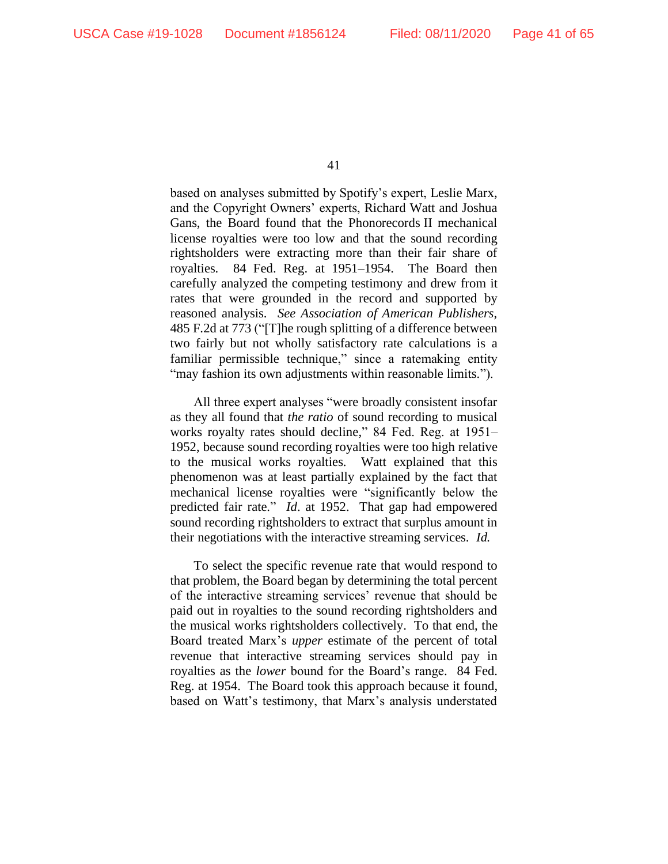based on analyses submitted by Spotify's expert, Leslie Marx, and the Copyright Owners' experts, Richard Watt and Joshua Gans, the Board found that the Phonorecords II mechanical license royalties were too low and that the sound recording rightsholders were extracting more than their fair share of royalties. 84 Fed. Reg. at 1951–1954. The Board then carefully analyzed the competing testimony and drew from it rates that were grounded in the record and supported by reasoned analysis. *See Association of American Publishers*, 485 F.2d at 773 ("[T]he rough splitting of a difference between two fairly but not wholly satisfactory rate calculations is a familiar permissible technique," since a ratemaking entity "may fashion its own adjustments within reasonable limits.").

All three expert analyses "were broadly consistent insofar as they all found that *the ratio* of sound recording to musical works royalty rates should decline," 84 Fed. Reg. at 1951– 1952, because sound recording royalties were too high relative to the musical works royalties. Watt explained that this phenomenon was at least partially explained by the fact that mechanical license royalties were "significantly below the predicted fair rate." *Id*. at 1952. That gap had empowered sound recording rightsholders to extract that surplus amount in their negotiations with the interactive streaming services. *Id.*

To select the specific revenue rate that would respond to that problem, the Board began by determining the total percent of the interactive streaming services' revenue that should be paid out in royalties to the sound recording rightsholders and the musical works rightsholders collectively. To that end, the Board treated Marx's *upper* estimate of the percent of total revenue that interactive streaming services should pay in royalties as the *lower* bound for the Board's range. 84 Fed. Reg. at 1954. The Board took this approach because it found, based on Watt's testimony, that Marx's analysis understated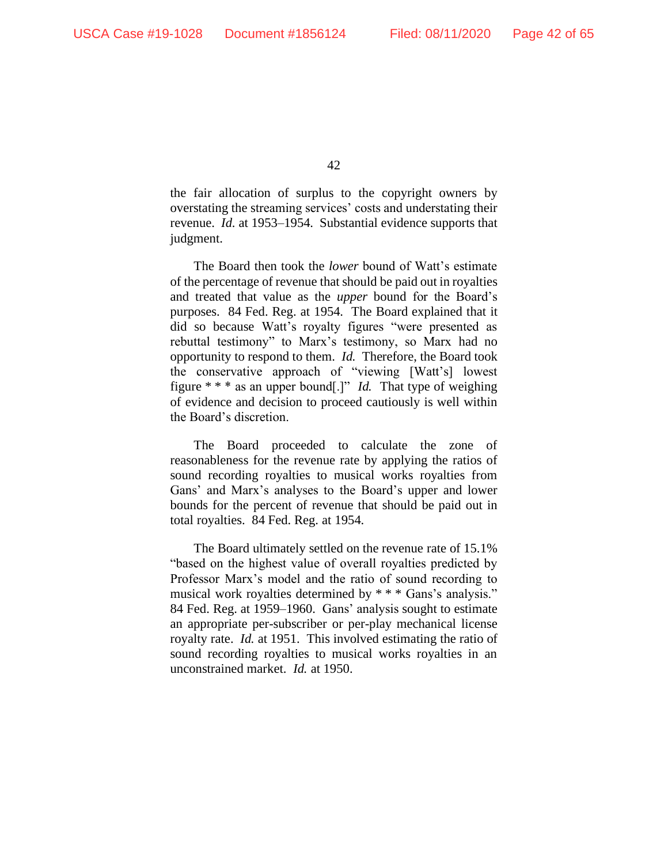the fair allocation of surplus to the copyright owners by overstating the streaming services' costs and understating their revenue. *Id.* at 1953–1954. Substantial evidence supports that judgment.

The Board then took the *lower* bound of Watt's estimate of the percentage of revenue that should be paid out in royalties and treated that value as the *upper* bound for the Board's purposes. 84 Fed. Reg. at 1954. The Board explained that it did so because Watt's royalty figures "were presented as rebuttal testimony" to Marx's testimony, so Marx had no opportunity to respond to them. *Id.* Therefore, the Board took the conservative approach of "viewing [Watt's] lowest figure \* \* \* as an upper bound[.]" *Id.* That type of weighing of evidence and decision to proceed cautiously is well within the Board's discretion.

The Board proceeded to calculate the zone of reasonableness for the revenue rate by applying the ratios of sound recording royalties to musical works royalties from Gans' and Marx's analyses to the Board's upper and lower bounds for the percent of revenue that should be paid out in total royalties. 84 Fed. Reg. at 1954.

The Board ultimately settled on the revenue rate of 15.1% "based on the highest value of overall royalties predicted by Professor Marx's model and the ratio of sound recording to musical work royalties determined by \* \* \* Gans's analysis." 84 Fed. Reg. at 1959–1960. Gans' analysis sought to estimate an appropriate per-subscriber or per-play mechanical license royalty rate. *Id.* at 1951. This involved estimating the ratio of sound recording royalties to musical works royalties in an unconstrained market. *Id.* at 1950.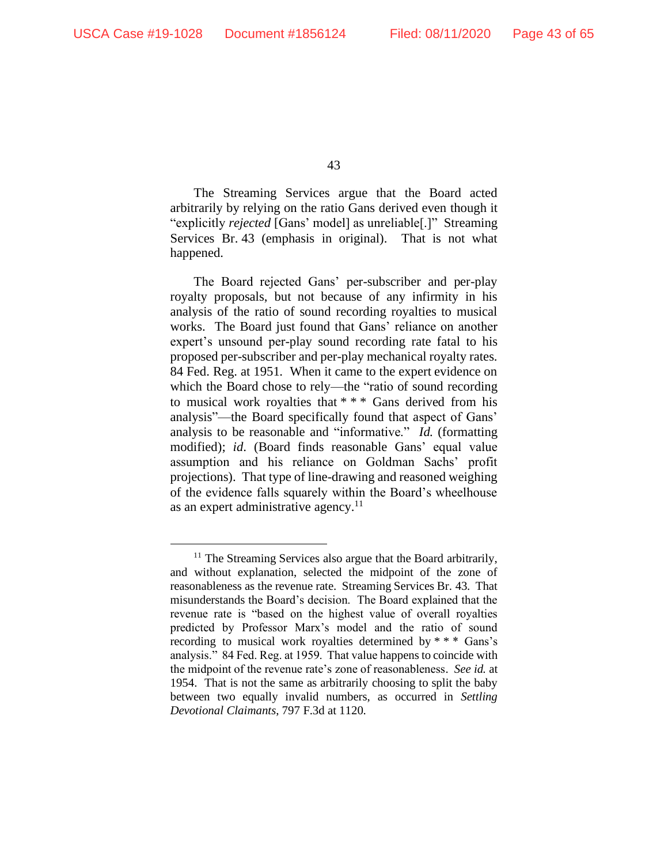The Streaming Services argue that the Board acted arbitrarily by relying on the ratio Gans derived even though it "explicitly *rejected* [Gans' model] as unreliable[.]" Streaming Services Br. 43 (emphasis in original). That is not what happened.

The Board rejected Gans' per-subscriber and per-play royalty proposals, but not because of any infirmity in his analysis of the ratio of sound recording royalties to musical works. The Board just found that Gans' reliance on another expert's unsound per-play sound recording rate fatal to his proposed per-subscriber and per-play mechanical royalty rates. 84 Fed. Reg. at 1951. When it came to the expert evidence on which the Board chose to rely—the "ratio of sound recording to musical work royalties that \* \* \* Gans derived from his analysis"—the Board specifically found that aspect of Gans' analysis to be reasonable and "informative." *Id.* (formatting modified); *id*. (Board finds reasonable Gans' equal value assumption and his reliance on Goldman Sachs' profit projections). That type of line-drawing and reasoned weighing of the evidence falls squarely within the Board's wheelhouse as an expert administrative agency. $11$ 

<sup>&</sup>lt;sup>11</sup> The Streaming Services also argue that the Board arbitrarily, and without explanation, selected the midpoint of the zone of reasonableness as the revenue rate. Streaming Services Br. 43. That misunderstands the Board's decision. The Board explained that the revenue rate is "based on the highest value of overall royalties predicted by Professor Marx's model and the ratio of sound recording to musical work royalties determined by \* \* \* Gans's analysis." 84 Fed. Reg. at 1959. That value happens to coincide with the midpoint of the revenue rate's zone of reasonableness. *See id.* at 1954. That is not the same as arbitrarily choosing to split the baby between two equally invalid numbers, as occurred in *Settling Devotional Claimants*, 797 F.3d at 1120.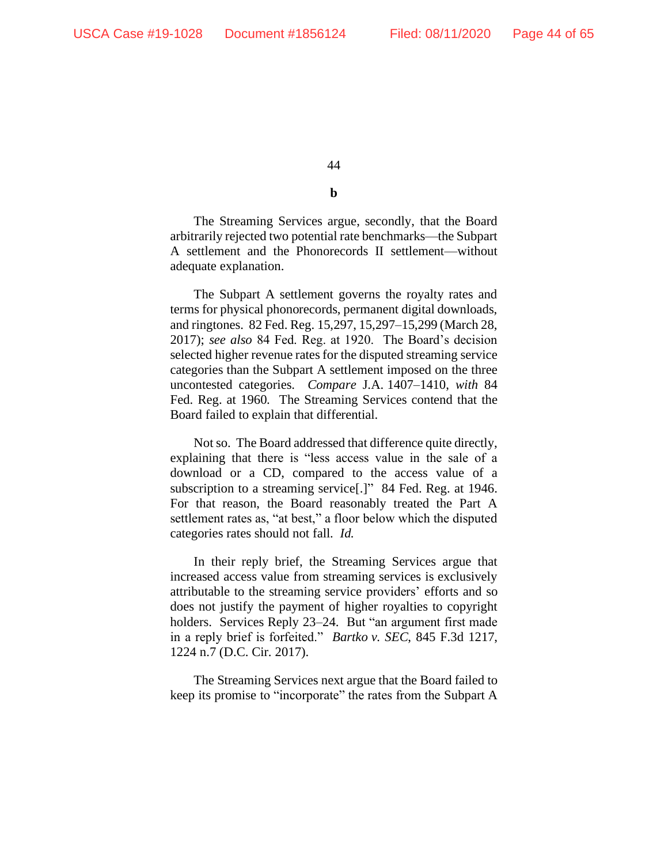**b**

The Streaming Services argue, secondly, that the Board arbitrarily rejected two potential rate benchmarks—the Subpart A settlement and the Phonorecords II settlement—without adequate explanation.

The Subpart A settlement governs the royalty rates and terms for physical phonorecords, permanent digital downloads, and ringtones. 82 Fed. Reg. 15,297, 15,297–15,299 (March 28, 2017); *see also* 84 Fed. Reg. at 1920. The Board's decision selected higher revenue rates for the disputed streaming service categories than the Subpart A settlement imposed on the three uncontested categories. *Compare* J.A. 1407–1410, *with* 84 Fed. Reg. at 1960. The Streaming Services contend that the Board failed to explain that differential.

Not so. The Board addressed that difference quite directly, explaining that there is "less access value in the sale of a download or a CD, compared to the access value of a subscription to a streaming service<sup>[1]</sup>" 84 Fed. Reg. at 1946. For that reason, the Board reasonably treated the Part A settlement rates as, "at best," a floor below which the disputed categories rates should not fall. *Id.*

In their reply brief, the Streaming Services argue that increased access value from streaming services is exclusively attributable to the streaming service providers' efforts and so does not justify the payment of higher royalties to copyright holders. Services Reply 23–24. But "an argument first made in a reply brief is forfeited." *Bartko v. SEC*, 845 F.3d 1217, 1224 n.7 (D.C. Cir. 2017).

The Streaming Services next argue that the Board failed to keep its promise to "incorporate" the rates from the Subpart A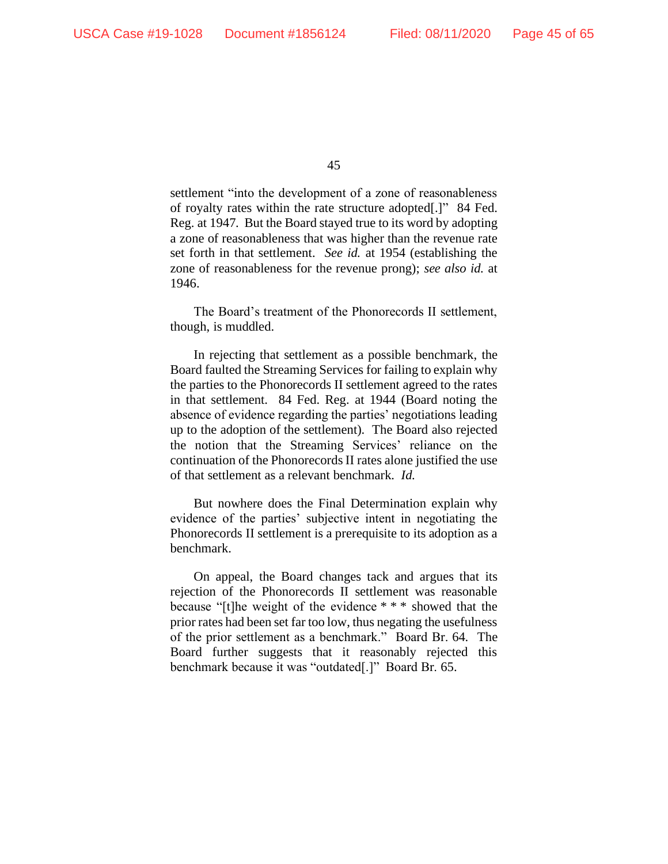settlement "into the development of a zone of reasonableness of royalty rates within the rate structure adopted[.]" 84 Fed. Reg. at 1947. But the Board stayed true to its word by adopting a zone of reasonableness that was higher than the revenue rate set forth in that settlement. *See id.* at 1954 (establishing the zone of reasonableness for the revenue prong); *see also id.* at 1946.

The Board's treatment of the Phonorecords II settlement, though, is muddled.

In rejecting that settlement as a possible benchmark, the Board faulted the Streaming Services for failing to explain why the parties to the Phonorecords II settlement agreed to the rates in that settlement. 84 Fed. Reg. at 1944 (Board noting the absence of evidence regarding the parties' negotiations leading up to the adoption of the settlement). The Board also rejected the notion that the Streaming Services' reliance on the continuation of the Phonorecords II rates alone justified the use of that settlement as a relevant benchmark. *Id.*

But nowhere does the Final Determination explain why evidence of the parties' subjective intent in negotiating the Phonorecords II settlement is a prerequisite to its adoption as a benchmark.

On appeal, the Board changes tack and argues that its rejection of the Phonorecords II settlement was reasonable because "[t]he weight of the evidence \* \* \* showed that the prior rates had been set far too low, thus negating the usefulness of the prior settlement as a benchmark." Board Br. 64. The Board further suggests that it reasonably rejected this benchmark because it was "outdated[.]" Board Br. 65.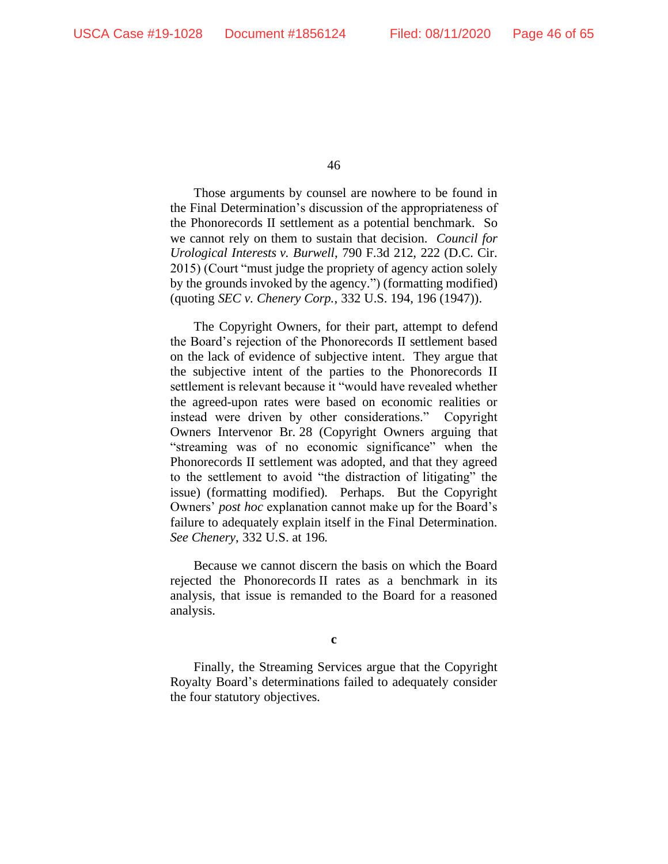Those arguments by counsel are nowhere to be found in the Final Determination's discussion of the appropriateness of the Phonorecords II settlement as a potential benchmark. So we cannot rely on them to sustain that decision. *Council for Urological Interests v. Burwell*, 790 F.3d 212, 222 (D.C. Cir. 2015) (Court "must judge the propriety of agency action solely by the grounds invoked by the agency.") (formatting modified) (quoting *SEC v. Chenery Corp.*, 332 U.S. 194, 196 (1947)).

The Copyright Owners, for their part, attempt to defend the Board's rejection of the Phonorecords II settlement based on the lack of evidence of subjective intent. They argue that the subjective intent of the parties to the Phonorecords II settlement is relevant because it "would have revealed whether the agreed-upon rates were based on economic realities or instead were driven by other considerations." Copyright Owners Intervenor Br. 28 (Copyright Owners arguing that "streaming was of no economic significance" when the Phonorecords II settlement was adopted, and that they agreed to the settlement to avoid "the distraction of litigating" the issue) (formatting modified). Perhaps. But the Copyright Owners' *post hoc* explanation cannot make up for the Board's failure to adequately explain itself in the Final Determination. *See Chenery*, 332 U.S. at 196.

Because we cannot discern the basis on which the Board rejected the Phonorecords II rates as a benchmark in its analysis, that issue is remanded to the Board for a reasoned analysis.

**c**

Finally, the Streaming Services argue that the Copyright Royalty Board's determinations failed to adequately consider the four statutory objectives.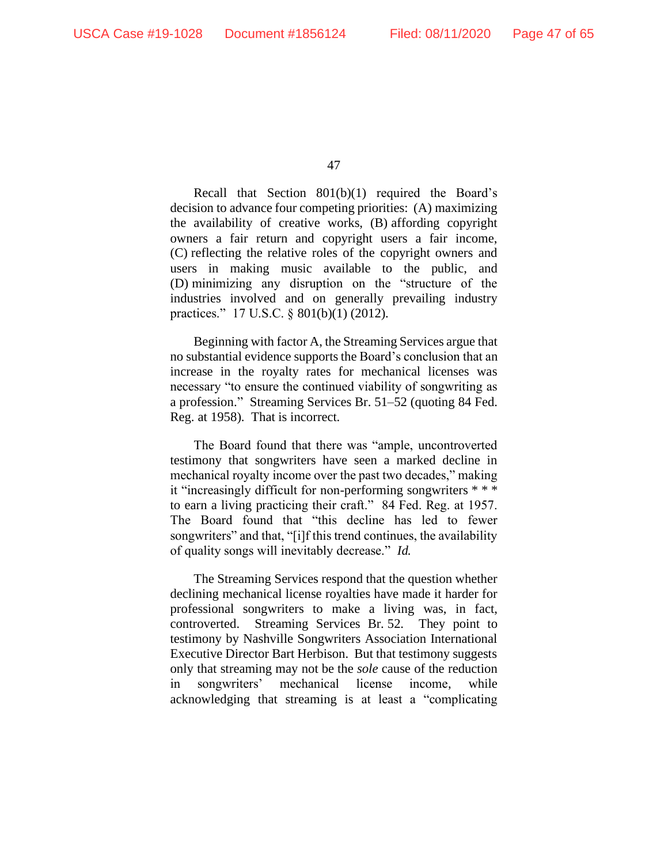Recall that Section 801(b)(1) required the Board's decision to advance four competing priorities: (A) maximizing the availability of creative works, (B) affording copyright owners a fair return and copyright users a fair income, (C) reflecting the relative roles of the copyright owners and users in making music available to the public, and (D) minimizing any disruption on the "structure of the industries involved and on generally prevailing industry practices." 17 U.S.C. § 801(b)(1) (2012).

Beginning with factor A, the Streaming Services argue that no substantial evidence supports the Board's conclusion that an increase in the royalty rates for mechanical licenses was necessary "to ensure the continued viability of songwriting as a profession." Streaming Services Br. 51–52 (quoting 84 Fed. Reg. at 1958). That is incorrect.

The Board found that there was "ample, uncontroverted testimony that songwriters have seen a marked decline in mechanical royalty income over the past two decades," making it "increasingly difficult for non-performing songwriters \* \* \* to earn a living practicing their craft." 84 Fed. Reg. at 1957. The Board found that "this decline has led to fewer songwriters" and that, "[i]f this trend continues, the availability of quality songs will inevitably decrease." *Id.*

The Streaming Services respond that the question whether declining mechanical license royalties have made it harder for professional songwriters to make a living was, in fact, controverted. Streaming Services Br. 52. They point to testimony by Nashville Songwriters Association International Executive Director Bart Herbison. But that testimony suggests only that streaming may not be the *sole* cause of the reduction in songwriters' mechanical license income, while acknowledging that streaming is at least a "complicating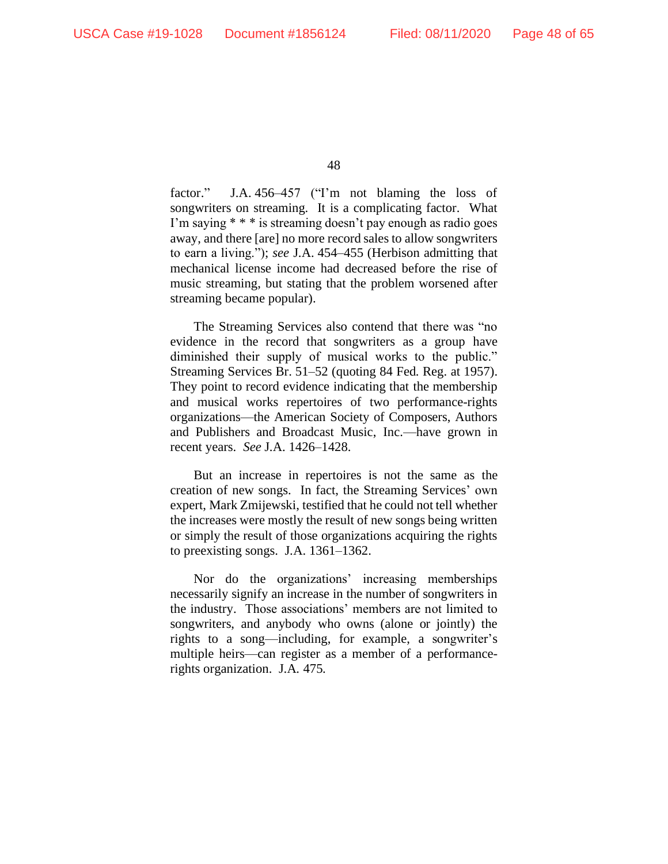factor." J.A. 456–457 ("I'm not blaming the loss of songwriters on streaming. It is a complicating factor. What I'm saying \* \* \* is streaming doesn't pay enough as radio goes away, and there [are] no more record sales to allow songwriters to earn a living."); *see* J.A. 454–455 (Herbison admitting that mechanical license income had decreased before the rise of music streaming, but stating that the problem worsened after streaming became popular).

The Streaming Services also contend that there was "no evidence in the record that songwriters as a group have diminished their supply of musical works to the public." Streaming Services Br. 51–52 (quoting 84 Fed. Reg. at 1957). They point to record evidence indicating that the membership and musical works repertoires of two performance-rights organizations—the American Society of Composers, Authors and Publishers and Broadcast Music, Inc.—have grown in recent years. *See* J.A. 1426–1428.

But an increase in repertoires is not the same as the creation of new songs. In fact, the Streaming Services' own expert, Mark Zmijewski, testified that he could not tell whether the increases were mostly the result of new songs being written or simply the result of those organizations acquiring the rights to preexisting songs. J.A. 1361–1362.

Nor do the organizations' increasing memberships necessarily signify an increase in the number of songwriters in the industry. Those associations' members are not limited to songwriters, and anybody who owns (alone or jointly) the rights to a song—including, for example, a songwriter's multiple heirs—can register as a member of a performancerights organization. J.A. 475.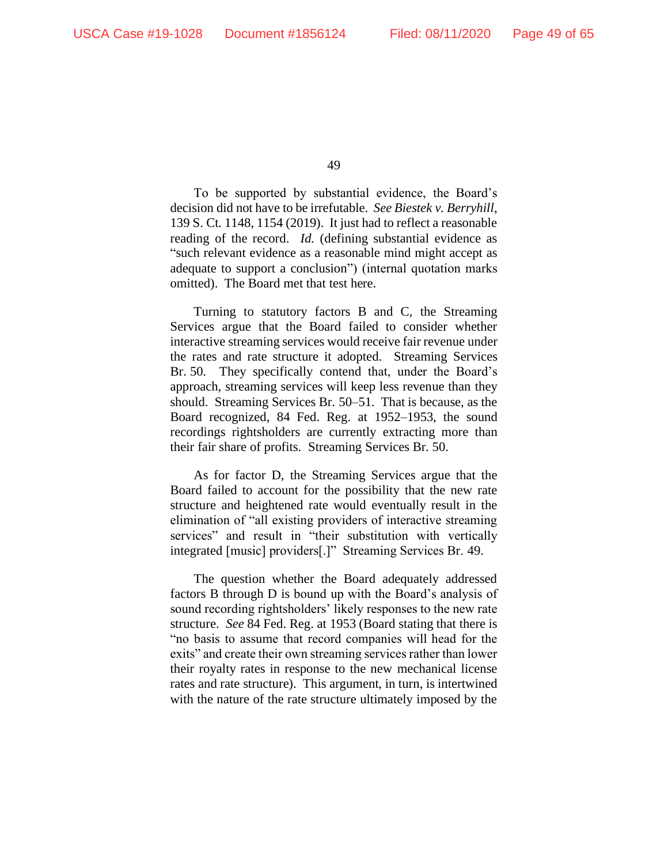To be supported by substantial evidence, the Board's decision did not have to be irrefutable. *See Biestek v. Berryhill*, 139 S. Ct. 1148, 1154 (2019). It just had to reflect a reasonable reading of the record. *Id.* (defining substantial evidence as "such relevant evidence as a reasonable mind might accept as adequate to support a conclusion") (internal quotation marks omitted). The Board met that test here.

Turning to statutory factors B and C, the Streaming Services argue that the Board failed to consider whether interactive streaming services would receive fair revenue under the rates and rate structure it adopted. Streaming Services Br. 50. They specifically contend that, under the Board's approach, streaming services will keep less revenue than they should. Streaming Services Br. 50–51. That is because, as the Board recognized, 84 Fed. Reg. at 1952–1953, the sound recordings rightsholders are currently extracting more than their fair share of profits. Streaming Services Br. 50.

As for factor D, the Streaming Services argue that the Board failed to account for the possibility that the new rate structure and heightened rate would eventually result in the elimination of "all existing providers of interactive streaming services" and result in "their substitution with vertically integrated [music] providers[.]" Streaming Services Br. 49.

The question whether the Board adequately addressed factors B through D is bound up with the Board's analysis of sound recording rightsholders' likely responses to the new rate structure. *See* 84 Fed. Reg. at 1953 (Board stating that there is "no basis to assume that record companies will head for the exits" and create their own streaming services rather than lower their royalty rates in response to the new mechanical license rates and rate structure). This argument, in turn, is intertwined with the nature of the rate structure ultimately imposed by the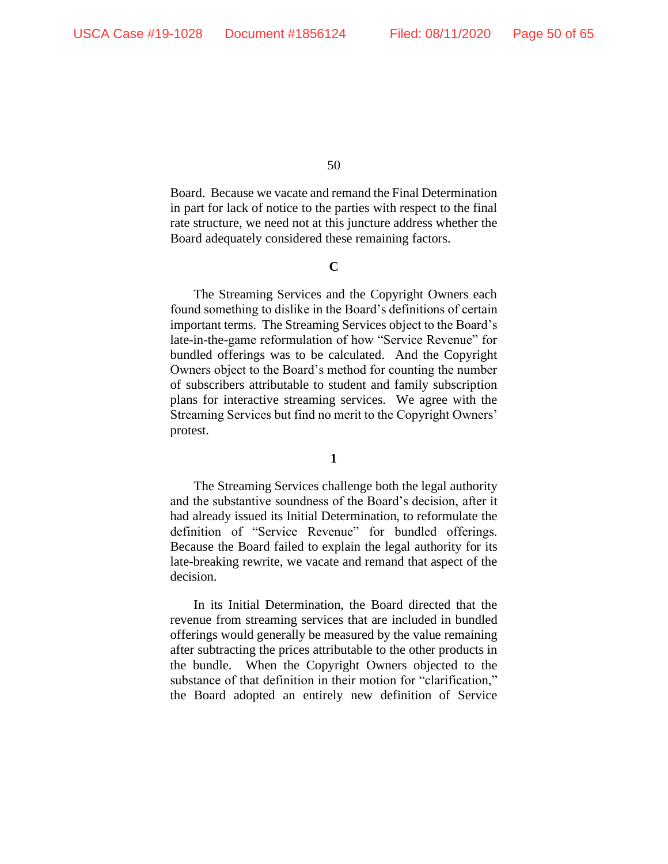Board. Because we vacate and remand the Final Determination in part for lack of notice to the parties with respect to the final rate structure, we need not at this juncture address whether the Board adequately considered these remaining factors.

### **C**

The Streaming Services and the Copyright Owners each found something to dislike in the Board's definitions of certain important terms. The Streaming Services object to the Board's late-in-the-game reformulation of how "Service Revenue" for bundled offerings was to be calculated. And the Copyright Owners object to the Board's method for counting the number of subscribers attributable to student and family subscription plans for interactive streaming services. We agree with the Streaming Services but find no merit to the Copyright Owners' protest.

#### **1**

The Streaming Services challenge both the legal authority and the substantive soundness of the Board's decision, after it had already issued its Initial Determination, to reformulate the definition of "Service Revenue" for bundled offerings. Because the Board failed to explain the legal authority for its late-breaking rewrite, we vacate and remand that aspect of the decision.

In its Initial Determination, the Board directed that the revenue from streaming services that are included in bundled offerings would generally be measured by the value remaining after subtracting the prices attributable to the other products in the bundle. When the Copyright Owners objected to the substance of that definition in their motion for "clarification," the Board adopted an entirely new definition of Service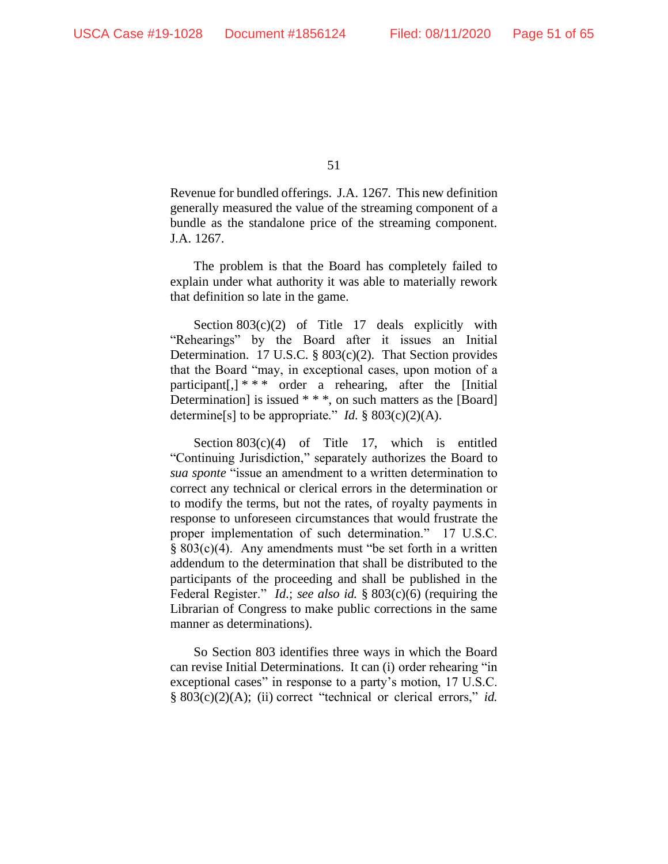Revenue for bundled offerings. J.A. 1267. This new definition generally measured the value of the streaming component of a bundle as the standalone price of the streaming component. J.A. 1267.

The problem is that the Board has completely failed to explain under what authority it was able to materially rework that definition so late in the game.

Section  $803(c)(2)$  of Title 17 deals explicitly with "Rehearings" by the Board after it issues an Initial Determination. 17 U.S.C. § 803(c)(2). That Section provides that the Board "may, in exceptional cases, upon motion of a participant[,] \* \* \* order a rehearing, after the [Initial Determination] is issued \* \* \*, on such matters as the [Board] determine<sup>[s]</sup> to be appropriate." *Id.* §  $803(c)(2)(A)$ .

Section  $803(c)(4)$  of Title 17, which is entitled "Continuing Jurisdiction," separately authorizes the Board to *sua sponte* "issue an amendment to a written determination to correct any technical or clerical errors in the determination or to modify the terms, but not the rates, of royalty payments in response to unforeseen circumstances that would frustrate the proper implementation of such determination." 17 U.S.C. § 803(c)(4). Any amendments must "be set forth in a written addendum to the determination that shall be distributed to the participants of the proceeding and shall be published in the Federal Register." *Id.*; *see also id.* § 803(c)(6) (requiring the Librarian of Congress to make public corrections in the same manner as determinations).

So Section 803 identifies three ways in which the Board can revise Initial Determinations. It can (i) order rehearing "in exceptional cases" in response to a party's motion, 17 U.S.C. § 803(c)(2)(A); (ii) correct "technical or clerical errors," *id.*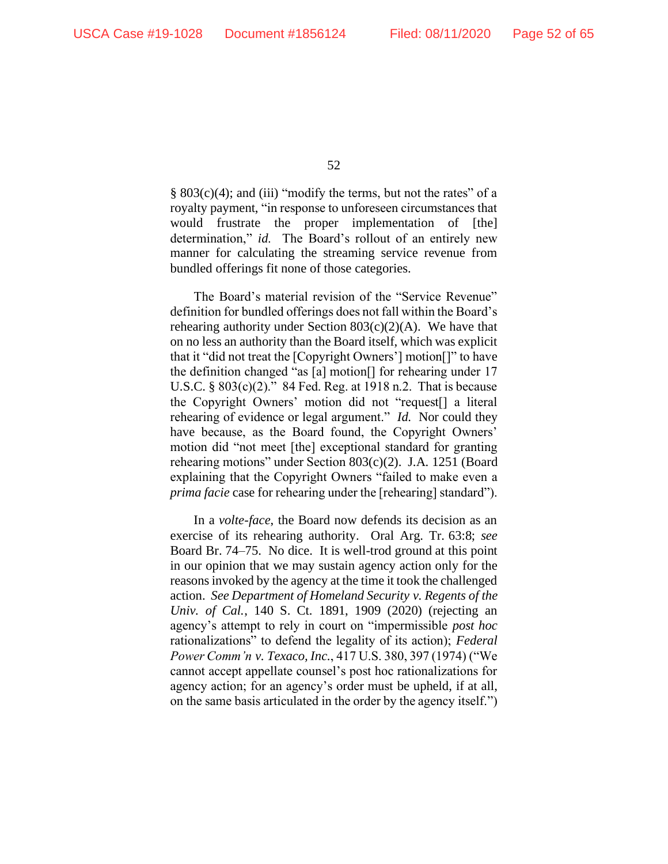§ 803(c)(4); and (iii) "modify the terms, but not the rates" of a royalty payment, "in response to unforeseen circumstances that would frustrate the proper implementation of [the] determination," *id*. The Board's rollout of an entirely new manner for calculating the streaming service revenue from bundled offerings fit none of those categories.

The Board's material revision of the "Service Revenue" definition for bundled offerings does not fall within the Board's rehearing authority under Section  $803(c)(2)(A)$ . We have that on no less an authority than the Board itself, which was explicit that it "did not treat the [Copyright Owners'] motion[]" to have the definition changed "as [a] motion[] for rehearing under 17 U.S.C. § 803(c)(2)." 84 Fed. Reg. at 1918 n.2. That is because the Copyright Owners' motion did not "request[] a literal rehearing of evidence or legal argument." *Id*. Nor could they have because, as the Board found, the Copyright Owners' motion did "not meet [the] exceptional standard for granting rehearing motions" under Section 803(c)(2). J.A. 1251 (Board explaining that the Copyright Owners "failed to make even a *prima facie* case for rehearing under the [rehearing] standard").

In a *volte-face*, the Board now defends its decision as an exercise of its rehearing authority. Oral Arg. Tr. 63:8; *see*  Board Br. 74–75. No dice. It is well-trod ground at this point in our opinion that we may sustain agency action only for the reasons invoked by the agency at the time it took the challenged action. *See Department of Homeland Security v. Regents of the Univ. of Cal.*, 140 S. Ct. 1891, 1909 (2020) (rejecting an agency's attempt to rely in court on "impermissible *post hoc* rationalizations" to defend the legality of its action); *Federal Power Comm'n v. Texaco, Inc.*, 417 U.S. 380, 397 (1974) ("We cannot accept appellate counsel's post hoc rationalizations for agency action; for an agency's order must be upheld, if at all, on the same basis articulated in the order by the agency itself.")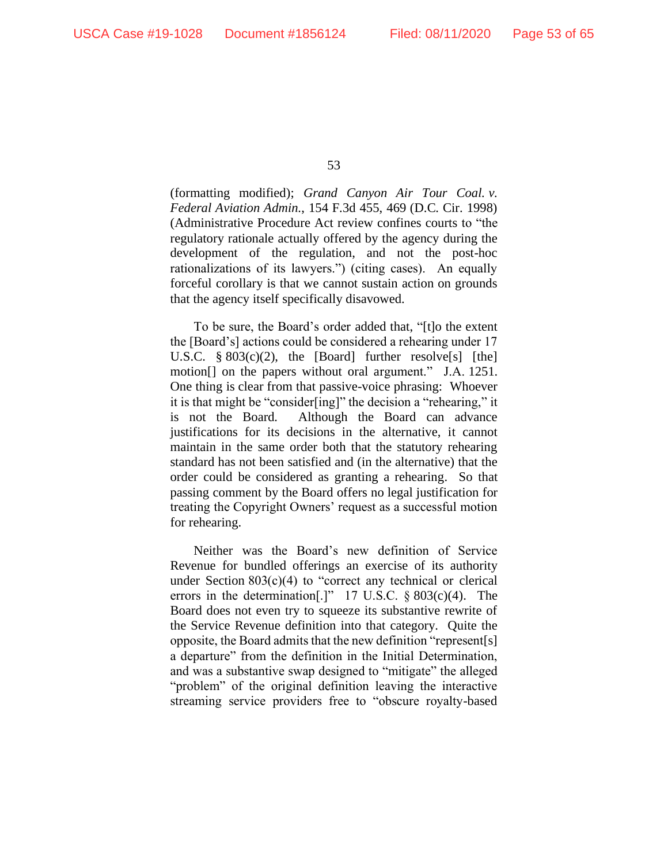(formatting modified); *Grand Canyon Air Tour Coal. v. Federal Aviation Admin.*, 154 F.3d 455, 469 (D.C. Cir. 1998) (Administrative Procedure Act review confines courts to "the regulatory rationale actually offered by the agency during the development of the regulation, and not the post-hoc rationalizations of its lawyers.") (citing cases). An equally forceful corollary is that we cannot sustain action on grounds that the agency itself specifically disavowed.

To be sure, the Board's order added that, "[t]o the extent the [Board's] actions could be considered a rehearing under 17 U.S.C. § 803(c)(2), the [Board] further resolve[s] [the] motion[] on the papers without oral argument." J.A. 1251. One thing is clear from that passive-voice phrasing: Whoever it is that might be "consider[ing]" the decision a "rehearing," it is not the Board. Although the Board can advance justifications for its decisions in the alternative, it cannot maintain in the same order both that the statutory rehearing standard has not been satisfied and (in the alternative) that the order could be considered as granting a rehearing. So that passing comment by the Board offers no legal justification for treating the Copyright Owners' request as a successful motion for rehearing.

Neither was the Board's new definition of Service Revenue for bundled offerings an exercise of its authority under Section  $803(c)(4)$  to "correct any technical or clerical errors in the determination<sup>[1]</sup> 17 U.S.C.  $\S 803(c)(4)$ . The Board does not even try to squeeze its substantive rewrite of the Service Revenue definition into that category. Quite the opposite, the Board admits that the new definition "represent[s] a departure" from the definition in the Initial Determination, and was a substantive swap designed to "mitigate" the alleged "problem" of the original definition leaving the interactive streaming service providers free to "obscure royalty-based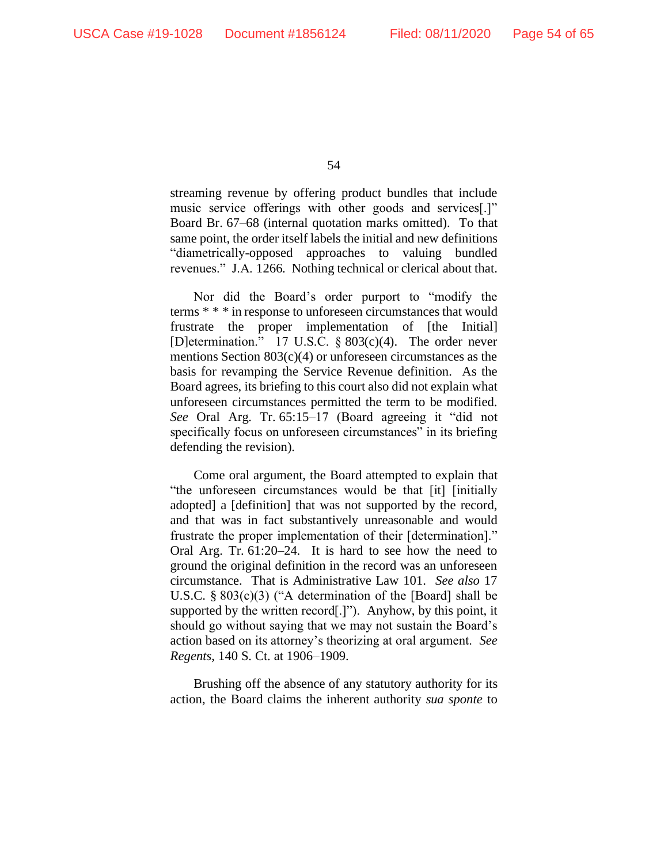streaming revenue by offering product bundles that include music service offerings with other goods and services[.]" Board Br. 67–68 (internal quotation marks omitted). To that same point, the order itself labels the initial and new definitions "diametrically-opposed approaches to valuing bundled revenues." J.A. 1266. Nothing technical or clerical about that.

Nor did the Board's order purport to "modify the terms \* \* \* in response to unforeseen circumstances that would frustrate the proper implementation of [the Initial] [D]etermination." 17 U.S.C. § 803(c)(4). The order never mentions Section 803(c)(4) or unforeseen circumstances as the basis for revamping the Service Revenue definition. As the Board agrees, its briefing to this court also did not explain what unforeseen circumstances permitted the term to be modified. *See* Oral Arg. Tr. 65:15–17 (Board agreeing it "did not specifically focus on unforeseen circumstances" in its briefing defending the revision).

Come oral argument, the Board attempted to explain that "the unforeseen circumstances would be that [it] [initially adopted] a [definition] that was not supported by the record, and that was in fact substantively unreasonable and would frustrate the proper implementation of their [determination]." Oral Arg. Tr. 61:20–24. It is hard to see how the need to ground the original definition in the record was an unforeseen circumstance. That is Administrative Law 101. *See also* 17 U.S.C. § 803(c)(3) ("A determination of the [Board] shall be supported by the written record[.]"). Anyhow, by this point, it should go without saying that we may not sustain the Board's action based on its attorney's theorizing at oral argument. *See Regents*, 140 S. Ct. at 1906–1909.

Brushing off the absence of any statutory authority for its action, the Board claims the inherent authority *sua sponte* to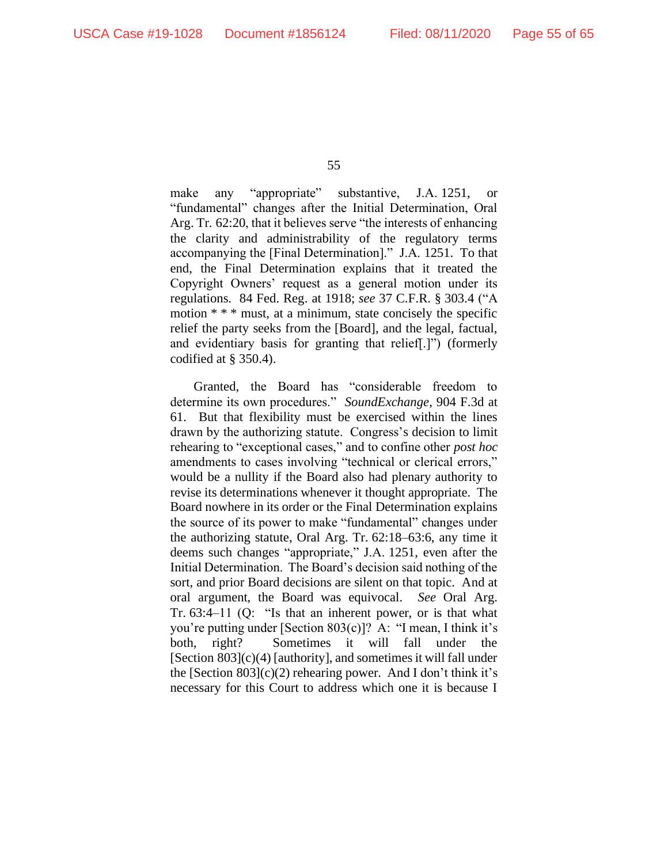make any "appropriate" substantive, J.A. 1251, or "fundamental" changes after the Initial Determination, Oral Arg. Tr. 62:20, that it believes serve "the interests of enhancing the clarity and administrability of the regulatory terms accompanying the [Final Determination]." J.A. 1251. To that end, the Final Determination explains that it treated the Copyright Owners' request as a general motion under its regulations. 84 Fed. Reg. at 1918; *see* 37 C.F.R. § 303.4 ("A motion \* \* \* must, at a minimum, state concisely the specific relief the party seeks from the [Board], and the legal, factual, and evidentiary basis for granting that relief[.]") (formerly codified at § 350.4).

Granted, the Board has "considerable freedom to determine its own procedures." *SoundExchange*, 904 F.3d at 61. But that flexibility must be exercised within the lines drawn by the authorizing statute. Congress's decision to limit rehearing to "exceptional cases," and to confine other *post hoc* amendments to cases involving "technical or clerical errors," would be a nullity if the Board also had plenary authority to revise its determinations whenever it thought appropriate. The Board nowhere in its order or the Final Determination explains the source of its power to make "fundamental" changes under the authorizing statute, Oral Arg. Tr. 62:18–63:6, any time it deems such changes "appropriate," J.A. 1251, even after the Initial Determination. The Board's decision said nothing of the sort, and prior Board decisions are silent on that topic. And at oral argument, the Board was equivocal. *See* Oral Arg. Tr. 63:4–11 (Q: "Is that an inherent power, or is that what you're putting under [Section 803(c)]? A: "I mean, I think it's both, right? Sometimes it will fall under the [Section 803](c)(4) [authority], and sometimes it will fall under the [Section  $803$ ](c)(2) rehearing power. And I don't think it's necessary for this Court to address which one it is because I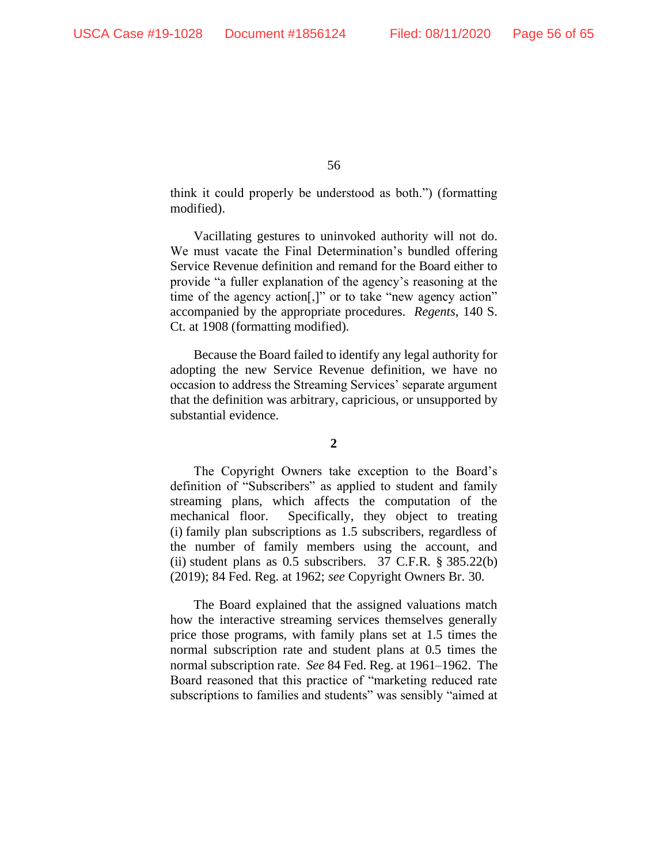think it could properly be understood as both.") (formatting modified).

Vacillating gestures to uninvoked authority will not do. We must vacate the Final Determination's bundled offering Service Revenue definition and remand for the Board either to provide "a fuller explanation of the agency's reasoning at the time of the agency action[,]" or to take "new agency action" accompanied by the appropriate procedures. *Regents*, 140 S. Ct. at 1908 (formatting modified).

Because the Board failed to identify any legal authority for adopting the new Service Revenue definition, we have no occasion to address the Streaming Services' separate argument that the definition was arbitrary, capricious, or unsupported by substantial evidence.

#### **2**

The Copyright Owners take exception to the Board's definition of "Subscribers" as applied to student and family streaming plans, which affects the computation of the mechanical floor. Specifically, they object to treating (i) family plan subscriptions as 1.5 subscribers, regardless of the number of family members using the account, and (ii) student plans as 0.5 subscribers. 37 C.F.R. § 385.22(b) (2019); 84 Fed. Reg. at 1962; *see* Copyright Owners Br. 30.

The Board explained that the assigned valuations match how the interactive streaming services themselves generally price those programs, with family plans set at 1.5 times the normal subscription rate and student plans at 0.5 times the normal subscription rate. *See* 84 Fed. Reg. at 1961–1962. The Board reasoned that this practice of "marketing reduced rate subscriptions to families and students" was sensibly "aimed at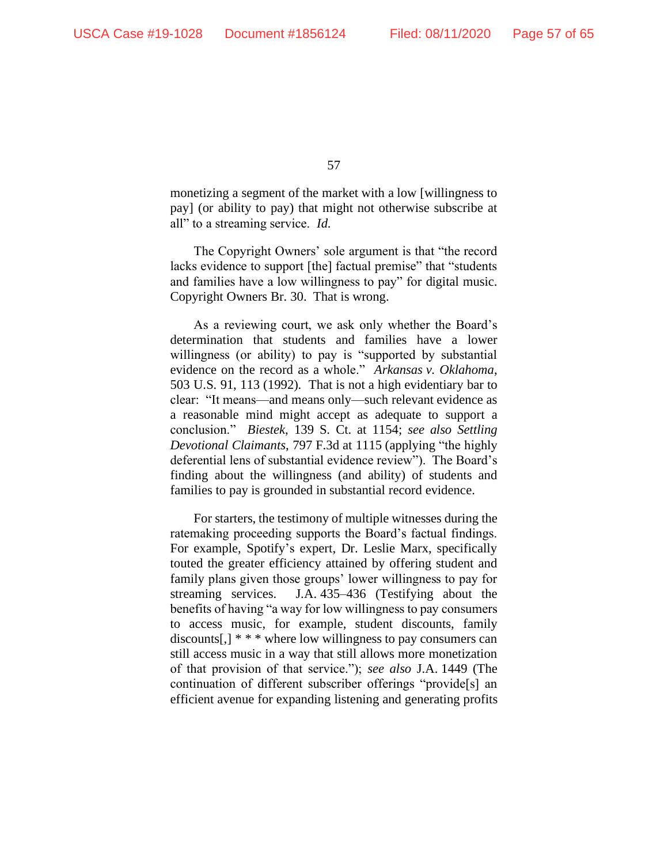monetizing a segment of the market with a low [willingness to pay] (or ability to pay) that might not otherwise subscribe at all" to a streaming service. *Id.*

The Copyright Owners' sole argument is that "the record lacks evidence to support [the] factual premise" that "students and families have a low willingness to pay" for digital music. Copyright Owners Br. 30. That is wrong.

As a reviewing court, we ask only whether the Board's determination that students and families have a lower willingness (or ability) to pay is "supported by substantial evidence on the record as a whole." *Arkansas v. Oklahoma*, 503 U.S. 91, 113 (1992). That is not a high evidentiary bar to clear: "It means—and means only—such relevant evidence as a reasonable mind might accept as adequate to support a conclusion." *Biestek*, 139 S. Ct. at 1154; *see also Settling Devotional Claimants*, 797 F.3d at 1115 (applying "the highly deferential lens of substantial evidence review"). The Board's finding about the willingness (and ability) of students and families to pay is grounded in substantial record evidence.

For starters, the testimony of multiple witnesses during the ratemaking proceeding supports the Board's factual findings. For example, Spotify's expert, Dr. Leslie Marx, specifically touted the greater efficiency attained by offering student and family plans given those groups' lower willingness to pay for streaming services. J.A. 435–436 (Testifying about the benefits of having "a way for low willingness to pay consumers to access music, for example, student discounts, family discounts[,]  $**$  \* where low willingness to pay consumers can still access music in a way that still allows more monetization of that provision of that service."); *see also* J.A. 1449 (The continuation of different subscriber offerings "provide[s] an efficient avenue for expanding listening and generating profits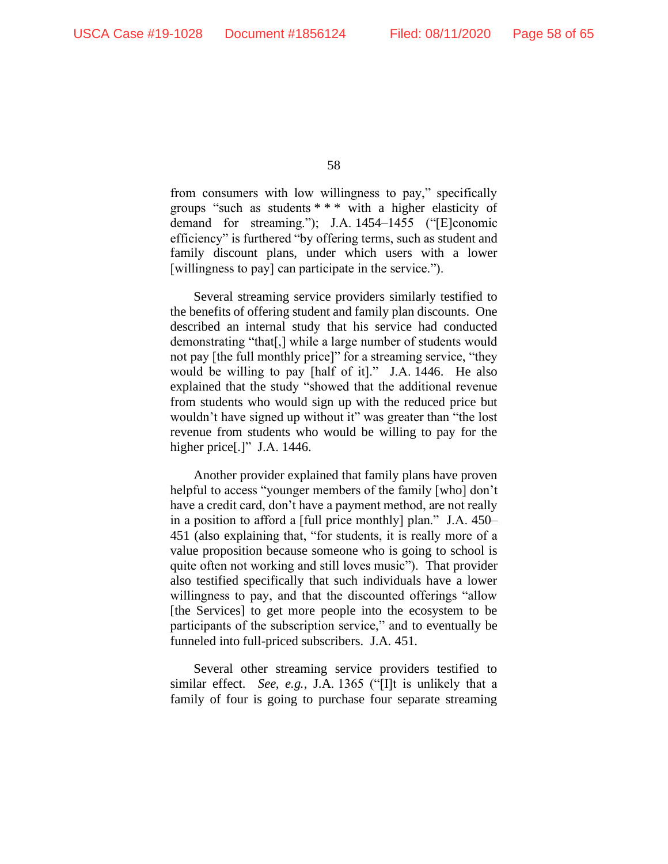from consumers with low willingness to pay," specifically groups "such as students \* \* \* with a higher elasticity of demand for streaming."); J.A. 1454-1455 ("[E]conomic efficiency" is furthered "by offering terms, such as student and family discount plans, under which users with a lower [willingness to pay] can participate in the service.").

Several streaming service providers similarly testified to the benefits of offering student and family plan discounts. One described an internal study that his service had conducted demonstrating "that[,] while a large number of students would not pay [the full monthly price]" for a streaming service, "they would be willing to pay [half of it]." J.A. 1446. He also explained that the study "showed that the additional revenue from students who would sign up with the reduced price but wouldn't have signed up without it" was greater than "the lost revenue from students who would be willing to pay for the higher price[.]" J.A. 1446.

Another provider explained that family plans have proven helpful to access "younger members of the family [who] don't have a credit card, don't have a payment method, are not really in a position to afford a [full price monthly] plan." J.A. 450– 451 (also explaining that, "for students, it is really more of a value proposition because someone who is going to school is quite often not working and still loves music"). That provider also testified specifically that such individuals have a lower willingness to pay, and that the discounted offerings "allow [the Services] to get more people into the ecosystem to be participants of the subscription service," and to eventually be funneled into full-priced subscribers. J.A. 451.

Several other streaming service providers testified to similar effect. *See, e.g.*, J.A. 1365 ("[I]t is unlikely that a family of four is going to purchase four separate streaming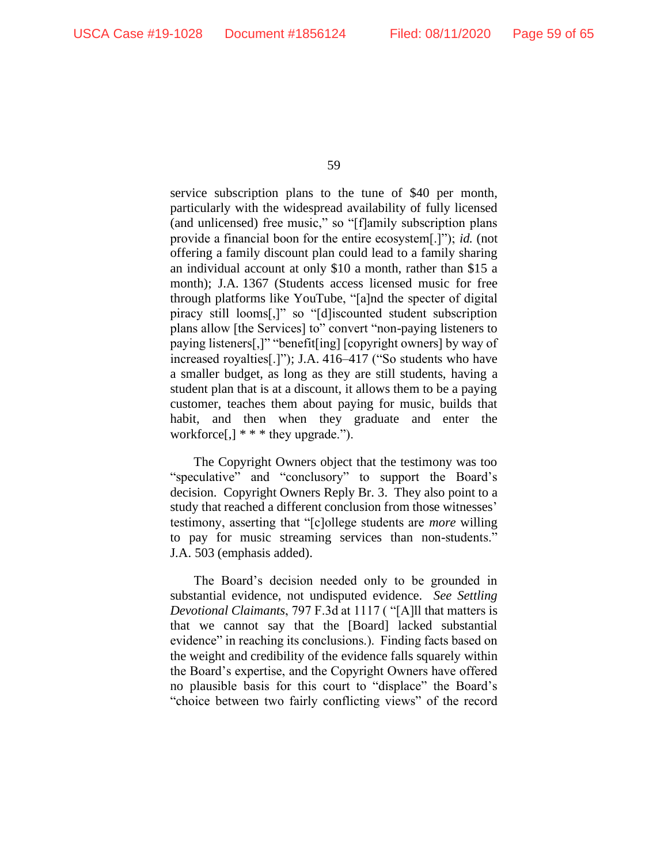service subscription plans to the tune of \$40 per month, particularly with the widespread availability of fully licensed (and unlicensed) free music," so "[f]amily subscription plans provide a financial boon for the entire ecosystem[.]"); *id.* (not offering a family discount plan could lead to a family sharing an individual account at only \$10 a month, rather than \$15 a month); J.A. 1367 (Students access licensed music for free through platforms like YouTube, "[a]nd the specter of digital piracy still looms[,]" so "[d]iscounted student subscription plans allow [the Services] to" convert "non-paying listeners to paying listeners[,]" "benefit[ing] [copyright owners] by way of increased royalties[.]"); J.A. 416–417 ("So students who have a smaller budget, as long as they are still students, having a student plan that is at a discount, it allows them to be a paying customer, teaches them about paying for music, builds that habit, and then when they graduate and enter the workforce $[,$ ] \* \* \* they upgrade.").

The Copyright Owners object that the testimony was too "speculative" and "conclusory" to support the Board's decision. Copyright Owners Reply Br. 3. They also point to a study that reached a different conclusion from those witnesses' testimony, asserting that "[c]ollege students are *more* willing to pay for music streaming services than non-students." J.A. 503 (emphasis added).

The Board's decision needed only to be grounded in substantial evidence, not undisputed evidence. *See Settling Devotional Claimants*, 797 F.3d at 1117 ( "[A]ll that matters is that we cannot say that the [Board] lacked substantial evidence" in reaching its conclusions.). Finding facts based on the weight and credibility of the evidence falls squarely within the Board's expertise, and the Copyright Owners have offered no plausible basis for this court to "displace" the Board's "choice between two fairly conflicting views" of the record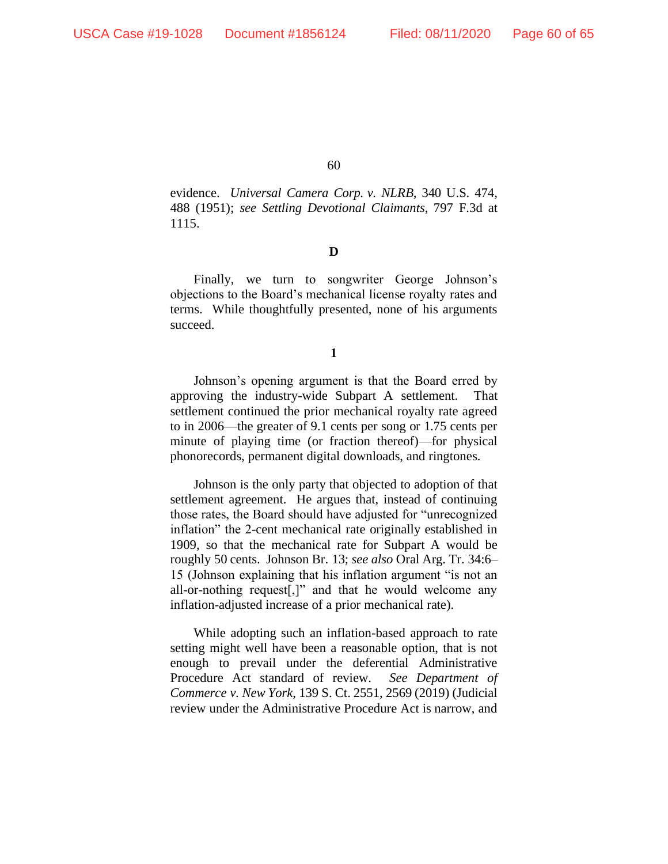evidence. *Universal Camera Corp. v. NLRB*, 340 U.S. 474, 488 (1951); *see Settling Devotional Claimants*, 797 F.3d at 1115.

## **D**

Finally, we turn to songwriter George Johnson's objections to the Board's mechanical license royalty rates and terms. While thoughtfully presented, none of his arguments succeed.

**1**

Johnson's opening argument is that the Board erred by approving the industry-wide Subpart A settlement. That settlement continued the prior mechanical royalty rate agreed to in 2006—the greater of 9.1 cents per song or 1.75 cents per minute of playing time (or fraction thereof)—for physical phonorecords, permanent digital downloads, and ringtones.

Johnson is the only party that objected to adoption of that settlement agreement. He argues that, instead of continuing those rates, the Board should have adjusted for "unrecognized inflation" the 2-cent mechanical rate originally established in 1909, so that the mechanical rate for Subpart A would be roughly 50 cents. Johnson Br. 13; *see also* Oral Arg. Tr. 34:6– 15 (Johnson explaining that his inflation argument "is not an all-or-nothing request[,]" and that he would welcome any inflation-adjusted increase of a prior mechanical rate).

While adopting such an inflation-based approach to rate setting might well have been a reasonable option, that is not enough to prevail under the deferential Administrative Procedure Act standard of review. *See Department of Commerce v. New York*, 139 S. Ct. 2551, 2569 (2019) (Judicial review under the Administrative Procedure Act is narrow, and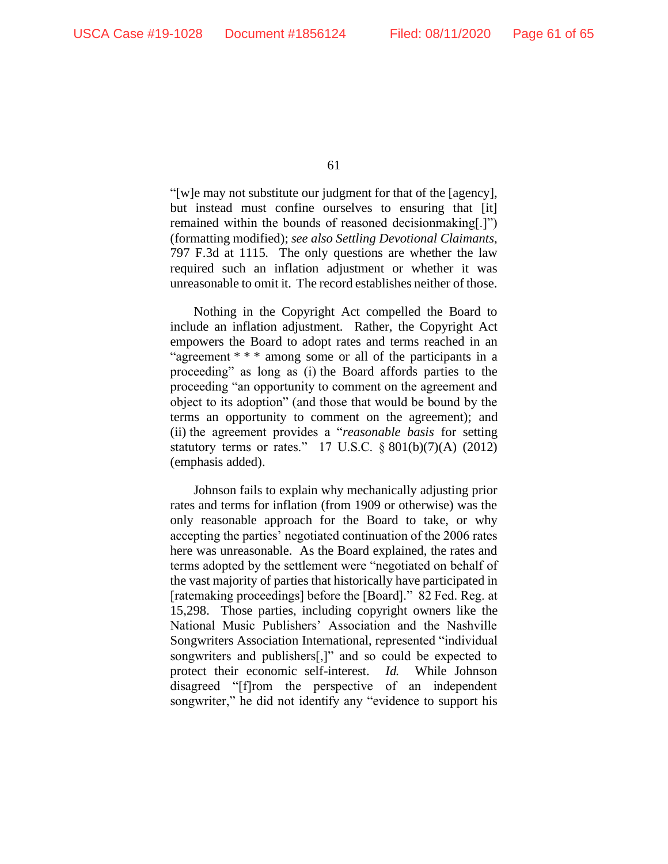"[w]e may not substitute our judgment for that of the [agency], but instead must confine ourselves to ensuring that [it] remained within the bounds of reasoned decisionmaking[.]") (formatting modified); *see also Settling Devotional Claimants*, 797 F.3d at 1115. The only questions are whether the law required such an inflation adjustment or whether it was unreasonable to omit it. The record establishes neither of those.

Nothing in the Copyright Act compelled the Board to include an inflation adjustment. Rather, the Copyright Act empowers the Board to adopt rates and terms reached in an "agreement \* \* \* among some or all of the participants in a proceeding" as long as (i) the Board affords parties to the proceeding "an opportunity to comment on the agreement and object to its adoption" (and those that would be bound by the terms an opportunity to comment on the agreement); and (ii) the agreement provides a "*reasonable basis* for setting statutory terms or rates." 17 U.S.C.  $\S 801(b)(7)(A)$  (2012) (emphasis added).

Johnson fails to explain why mechanically adjusting prior rates and terms for inflation (from 1909 or otherwise) was the only reasonable approach for the Board to take, or why accepting the parties' negotiated continuation of the 2006 rates here was unreasonable. As the Board explained, the rates and terms adopted by the settlement were "negotiated on behalf of the vast majority of parties that historically have participated in [ratemaking proceedings] before the [Board]." 82 Fed. Reg. at 15,298. Those parties, including copyright owners like the National Music Publishers' Association and the Nashville Songwriters Association International, represented "individual songwriters and publishers[,]" and so could be expected to protect their economic self-interest. *Id.* While Johnson disagreed "[f]rom the perspective of an independent songwriter," he did not identify any "evidence to support his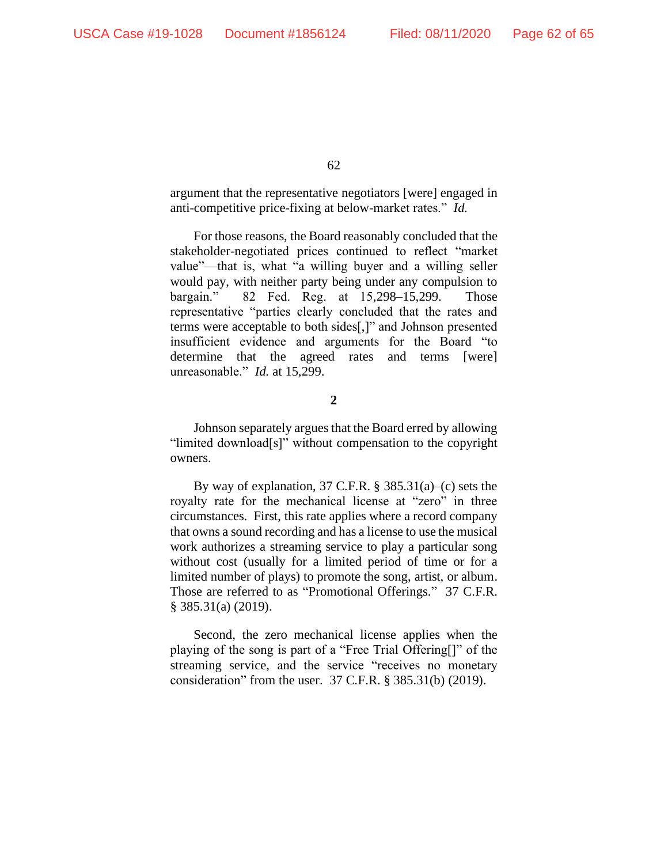argument that the representative negotiators [were] engaged in anti-competitive price-fixing at below-market rates." *Id.*

For those reasons, the Board reasonably concluded that the stakeholder-negotiated prices continued to reflect "market value"—that is, what "a willing buyer and a willing seller would pay, with neither party being under any compulsion to bargain." 82 Fed. Reg. at 15,298–15,299. Those representative "parties clearly concluded that the rates and terms were acceptable to both sides[,]" and Johnson presented insufficient evidence and arguments for the Board "to determine that the agreed rates and terms [were] unreasonable." *Id.* at 15,299.

**2**

Johnson separately argues that the Board erred by allowing "limited download[s]" without compensation to the copyright owners.

By way of explanation, 37 C.F.R. § 385.31(a)–(c) sets the royalty rate for the mechanical license at "zero" in three circumstances. First, this rate applies where a record company that owns a sound recording and has a license to use the musical work authorizes a streaming service to play a particular song without cost (usually for a limited period of time or for a limited number of plays) to promote the song, artist, or album. Those are referred to as "Promotional Offerings." 37 C.F.R. § 385.31(a) (2019).

Second, the zero mechanical license applies when the playing of the song is part of a "Free Trial Offering[]" of the streaming service, and the service "receives no monetary consideration" from the user. 37 C.F.R. § 385.31(b) (2019).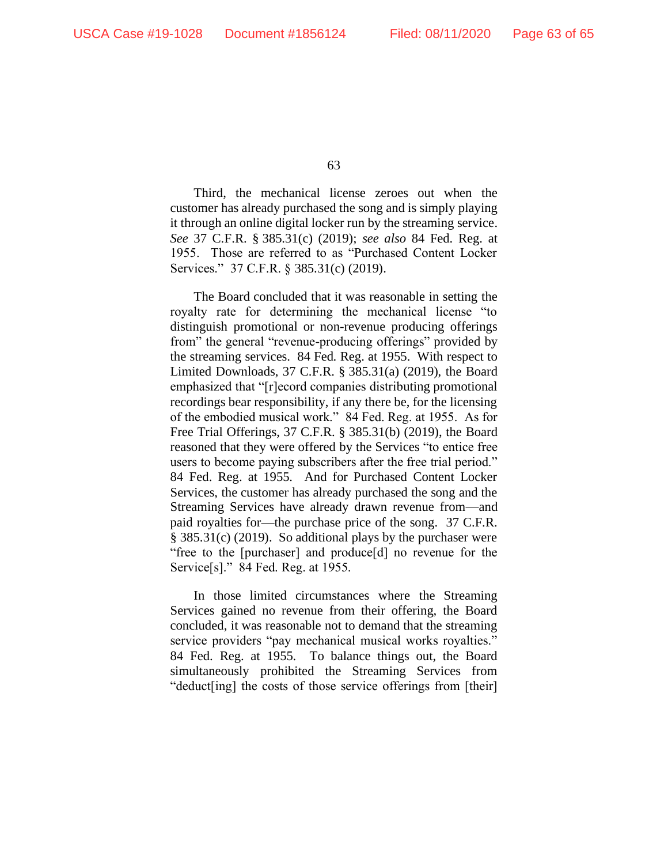Third, the mechanical license zeroes out when the customer has already purchased the song and is simply playing it through an online digital locker run by the streaming service. *See* 37 C.F.R. § 385.31(c) (2019); *see also* 84 Fed. Reg. at 1955. Those are referred to as "Purchased Content Locker Services." 37 C.F.R. § 385.31(c) (2019).

The Board concluded that it was reasonable in setting the royalty rate for determining the mechanical license "to distinguish promotional or non-revenue producing offerings from" the general "revenue-producing offerings" provided by the streaming services. 84 Fed. Reg. at 1955. With respect to Limited Downloads, 37 C.F.R. § 385.31(a) (2019), the Board emphasized that "[r]ecord companies distributing promotional recordings bear responsibility, if any there be, for the licensing of the embodied musical work." 84 Fed. Reg. at 1955. As for Free Trial Offerings, 37 C.F.R. § 385.31(b) (2019), the Board reasoned that they were offered by the Services "to entice free users to become paying subscribers after the free trial period." 84 Fed. Reg. at 1955. And for Purchased Content Locker Services, the customer has already purchased the song and the Streaming Services have already drawn revenue from—and paid royalties for—the purchase price of the song. 37 C.F.R. § 385.31(c) (2019). So additional plays by the purchaser were "free to the [purchaser] and produce[d] no revenue for the Service[s]." 84 Fed. Reg. at 1955.

In those limited circumstances where the Streaming Services gained no revenue from their offering, the Board concluded, it was reasonable not to demand that the streaming service providers "pay mechanical musical works royalties." 84 Fed. Reg. at 1955. To balance things out, the Board simultaneously prohibited the Streaming Services from "deduct[ing] the costs of those service offerings from [their]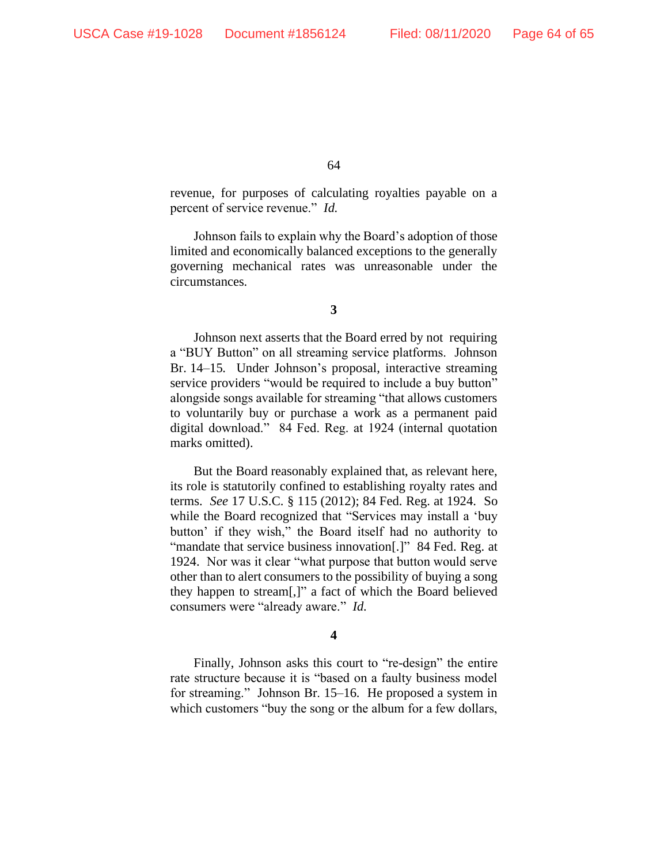revenue, for purposes of calculating royalties payable on a percent of service revenue." *Id.*

Johnson fails to explain why the Board's adoption of those limited and economically balanced exceptions to the generally governing mechanical rates was unreasonable under the circumstances.

**3**

Johnson next asserts that the Board erred by not requiring a "BUY Button" on all streaming service platforms. Johnson Br. 14–15. Under Johnson's proposal, interactive streaming service providers "would be required to include a buy button" alongside songs available for streaming "that allows customers to voluntarily buy or purchase a work as a permanent paid digital download." 84 Fed. Reg. at 1924 (internal quotation marks omitted).

But the Board reasonably explained that, as relevant here, its role is statutorily confined to establishing royalty rates and terms. *See* 17 U.S.C. § 115 (2012); 84 Fed. Reg. at 1924. So while the Board recognized that "Services may install a 'buy button' if they wish," the Board itself had no authority to "mandate that service business innovation[.]" 84 Fed. Reg. at 1924. Nor was it clear "what purpose that button would serve other than to alert consumers to the possibility of buying a song they happen to stream[,]" a fact of which the Board believed consumers were "already aware." *Id.*

#### **4**

Finally, Johnson asks this court to "re-design" the entire rate structure because it is "based on a faulty business model for streaming." Johnson Br. 15–16. He proposed a system in which customers "buy the song or the album for a few dollars,